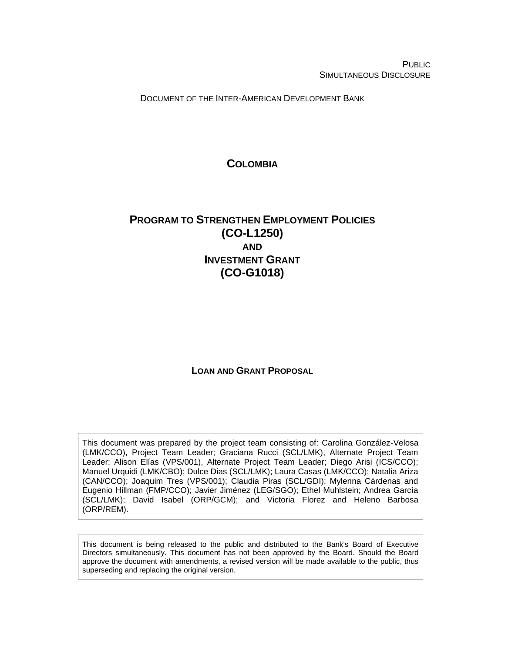PUBLIC SIMULTANEOUS DISCLOSURE

DOCUMENT OF THE INTER-AMERICAN DEVELOPMENT BANK

## **COLOMBIA**

# <span id="page-0-0"></span>**PROGRAM TO STRENGTHEN EMPLOYMENT POLICIES (CO-L1250) AND INVESTMENT GRANT (CO-G1018)**

### **LOAN AND GRANT PROPOSAL**

This document was prepared by the project team consisting of: Carolina González-Velosa (LMK/CCO), Project Team Leader; Graciana Rucci (SCL/LMK), Alternate Project Team Leader; Alison Elías (VPS/001), Alternate Project Team Leader; Diego Arisi (ICS/CCO); Manuel Urquidi (LMK/CBO); Dulce Dias (SCL/LMK); Laura Casas (LMK/CCO); Natalia Ariza (CAN/CCO); Joaquim Tres (VPS/001); Claudia Piras (SCL/GDI); Mylenna Cárdenas and Eugenio Hillman (FMP/CCO); Javier Jiménez (LEG/SGO); Ethel Muhlstein; Andrea García (SCL/LMK); David Isabel (ORP/GCM); and Victoria Florez and Heleno Barbosa (ORP/REM).

This document is being released to the public and distributed to the Bank's Board of Executive Directors simultaneously. This document has not been approved by the Board. Should the Board approve the document with amendments, a revised version will be made available to the public, thus superseding and replacing the original version.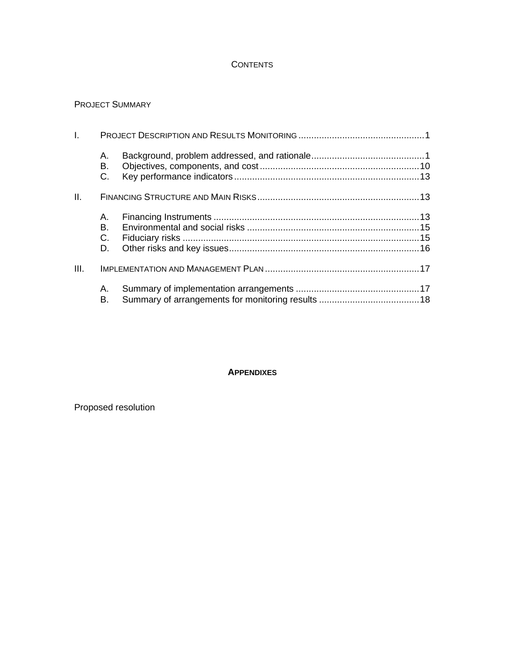### **CONTENTS**

### PROJECT SUMMARY

| I.   |                |  |
|------|----------------|--|
|      | А.<br>В.<br>C. |  |
| II.  |                |  |
|      | А.<br>В.<br>C. |  |
|      | D.             |  |
| III. |                |  |
|      | Α.<br>В.       |  |

#### **APPENDIXES**

Proposed resolution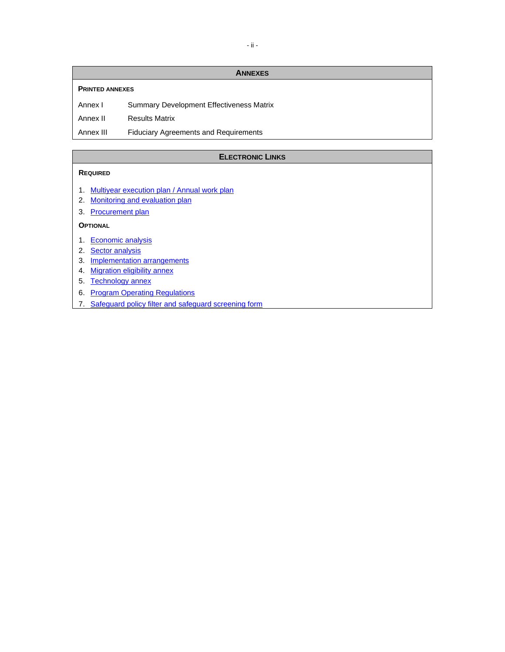#### **ANNEXES**

#### **PRINTED ANNEXES**

Annex I Summary Development Effectiveness Matrix

Annex II Results Matrix

Annex III Fiduciary Agreements and Requirements

#### **ELECTRONIC LINKS**

#### **REQUIRED**

- 1. [Multiyear execution plan](http://idbdocs.iadb.org/wsdocs/getDocument.aspx?DOCNUM=EZSHARE-659572234-21) / [Annual work plan](http://idbdocs.iadb.org/wsdocs/getDocument.aspx?DOCNUM=EZSHARE-659572234-19)
- 2. [Monitoring and evaluation plan](http://idbdocs.iadb.org/wsdocs/getDocument.aspx?DOCNUM=EZSHARE-659572234-48)
- 3. [Procurement plan](http://idbdocs.iadb.org/wsdocs/getDocument.aspx?DOCNUM=EZSHARE-659572234-23)

#### **OPTIONAL**

- 1. [Economic analysis](http://idbdocs.iadb.org/wsdocs/getDocument.aspx?DOCNUM=EZSHARE-659572234-18)
- 2. [Sector analysis](http://idbdocs.iadb.org/wsdocs/getDocument.aspx?DOCNUM=EZSHARE-659572234-27)
- 3. [Implementation arrangements](http://idbdocs.iadb.org/wsdocs/getDocument.aspx?DOCNUM=EZSHARE-659572234-46)
- 4. [Migration eligibility annex](http://idbdocs.iadb.org/wsdocs/getDocument.aspx?DOCNUM=EZSHARE-659572234-4)
- 5. [Technology annex](http://idbdocs.iadb.org/wsdocs/getDocument.aspx?DOCNUM=EZSHARE-659572234-47)
- 6. [Program Operating Regulations](http://idbdocs.iadb.org/wsdocs/getDocument.aspx?DOCNUM=EZSHARE-659572234-54)
- 7. [Safeguard policy filter](http://idbdocs.iadb.org/wsdocs/getDocument.aspx?DOCNUM=EZSHARE-192006203-2) and [safeguard screening form](http://idbdocs.iadb.org/wsdocs/getDocument.aspx?DOCNUM=EZSHARE-192006203-3)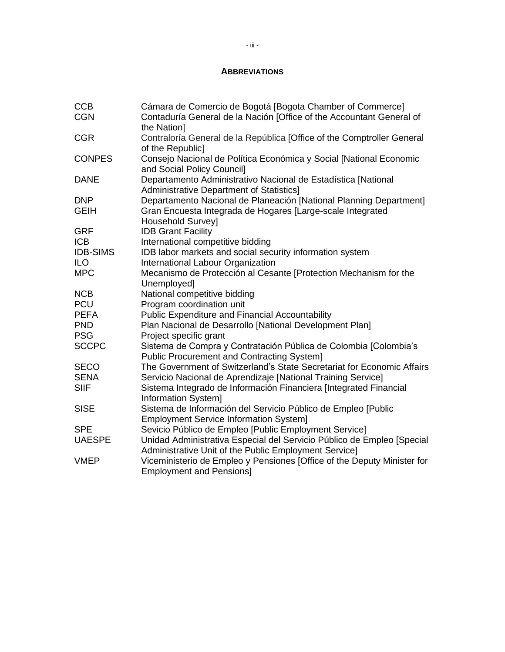### **ABBREVIATIONS**

| <b>CCB</b>      | Cámara de Comercio de Bogotá [Bogota Chamber of Commerce]                                                                       |
|-----------------|---------------------------------------------------------------------------------------------------------------------------------|
| <b>CGN</b>      | Contaduría General de la Nación [Office of the Accountant General of<br>the Nation]                                             |
| <b>CGR</b>      | Contraloría General de la República [Office of the Comptroller General<br>of the Republic]                                      |
| <b>CONPES</b>   | Consejo Nacional de Política Económica y Social [National Economic<br>and Social Policy Council]                                |
| <b>DANE</b>     | Departamento Administrativo Nacional de Estadística [National<br><b>Administrative Department of Statistics]</b>                |
| <b>DNP</b>      | Departamento Nacional de Planeación [National Planning Department]                                                              |
| <b>GEIH</b>     | Gran Encuesta Integrada de Hogares [Large-scale Integrated<br><b>Household Survey]</b>                                          |
| <b>GRF</b>      | <b>IDB Grant Facility</b>                                                                                                       |
| <b>ICB</b>      | International competitive bidding                                                                                               |
| <b>IDB-SIMS</b> | IDB labor markets and social security information system                                                                        |
| <b>ILO</b>      | International Labour Organization                                                                                               |
| <b>MPC</b>      | Mecanismo de Protección al Cesante [Protection Mechanism for the<br>Unemployed]                                                 |
| <b>NCB</b>      | National competitive bidding                                                                                                    |
| <b>PCU</b>      | Program coordination unit                                                                                                       |
| <b>PEFA</b>     | <b>Public Expenditure and Financial Accountability</b>                                                                          |
| <b>PND</b>      | Plan Nacional de Desarrollo [National Development Plan]                                                                         |
| <b>PSG</b>      | Project specific grant                                                                                                          |
| <b>SCCPC</b>    | Sistema de Compra y Contratación Pública de Colombia [Colombia's<br><b>Public Procurement and Contracting System]</b>           |
| <b>SECO</b>     | The Government of Switzerland's State Secretariat for Economic Affairs                                                          |
| <b>SENA</b>     | Servicio Nacional de Aprendizaje [National Training Service]                                                                    |
| <b>SIIF</b>     | Sistema Integrado de Información Financiera [Integrated Financial<br>Information System]                                        |
| <b>SISE</b>     | Sistema de Información del Servicio Público de Empleo [Public<br><b>Employment Service Information System]</b>                  |
| <b>SPE</b>      | Sevicio Público de Empleo [Public Employment Service]                                                                           |
| <b>UAESPE</b>   | Unidad Administrativa Especial del Servicio Público de Empleo [Special<br>Administrative Unit of the Public Employment Service] |
| <b>VMEP</b>     | Viceministerio de Empleo y Pensiones [Office of the Deputy Minister for<br><b>Employment and Pensions]</b>                      |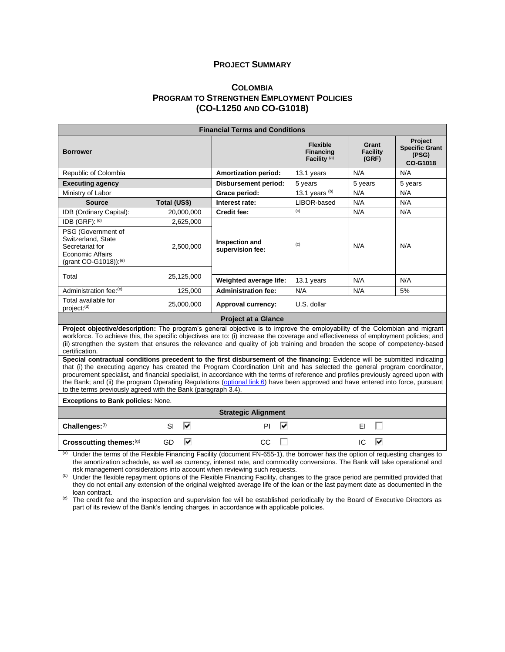#### **PROJECT SUMMARY**

### **C[OLOMBIA](#page-0-0) PROGRAM TO STRENGTHEN EMPLOYMENT POLICIES (CO-L1250 AND CO-G1018)**

| <b>Financial Terms and Conditions</b>                                                                    |                |                                                                                                                                                                                                                                                                                                                                                                                                                                                                                                                                    |                                                                |                                   |                                                       |  |  |  |
|----------------------------------------------------------------------------------------------------------|----------------|------------------------------------------------------------------------------------------------------------------------------------------------------------------------------------------------------------------------------------------------------------------------------------------------------------------------------------------------------------------------------------------------------------------------------------------------------------------------------------------------------------------------------------|----------------------------------------------------------------|-----------------------------------|-------------------------------------------------------|--|--|--|
| <b>Borrower</b>                                                                                          |                |                                                                                                                                                                                                                                                                                                                                                                                                                                                                                                                                    | <b>Flexible</b><br><b>Financing</b><br>Facility <sup>(a)</sup> | Grant<br><b>Facility</b><br>(GRF) | Project<br><b>Specific Grant</b><br>(PSG)<br>CO-G1018 |  |  |  |
| Republic of Colombia                                                                                     |                | <b>Amortization period:</b>                                                                                                                                                                                                                                                                                                                                                                                                                                                                                                        | 13.1 years                                                     | N/A                               |                                                       |  |  |  |
| <b>Executing agency</b>                                                                                  |                | <b>Disbursement period:</b>                                                                                                                                                                                                                                                                                                                                                                                                                                                                                                        | 5 years                                                        | 5 years                           | 5 years                                               |  |  |  |
| Ministry of Labor                                                                                        |                | Grace period:                                                                                                                                                                                                                                                                                                                                                                                                                                                                                                                      | 13.1 years (b)                                                 | N/A                               | N/A                                                   |  |  |  |
| <b>Source</b>                                                                                            | Total (US\$)   | Interest rate:                                                                                                                                                                                                                                                                                                                                                                                                                                                                                                                     | LIBOR-based                                                    | N/A                               | N/A                                                   |  |  |  |
| IDB (Ordinary Capital):                                                                                  | 20,000,000     | <b>Credit fee:</b>                                                                                                                                                                                                                                                                                                                                                                                                                                                                                                                 | (c)                                                            | N/A                               | N/A                                                   |  |  |  |
| IDB (GRF): (d)                                                                                           | 2,625,000      |                                                                                                                                                                                                                                                                                                                                                                                                                                                                                                                                    |                                                                |                                   |                                                       |  |  |  |
| PSG (Government of<br>Switzerland, State<br>Secretariat for<br>Economic Affairs<br>(grant CO-G1018)):(e) | 2,500,000      | Inspection and<br>supervision fee:                                                                                                                                                                                                                                                                                                                                                                                                                                                                                                 | (c)                                                            | N/A                               | N/A                                                   |  |  |  |
| Total                                                                                                    | 25,125,000     | Weighted average life:                                                                                                                                                                                                                                                                                                                                                                                                                                                                                                             | 13.1 years                                                     | N/A                               | N/A                                                   |  |  |  |
| Administration fee:(e)                                                                                   | 125,000        | <b>Administration fee:</b>                                                                                                                                                                                                                                                                                                                                                                                                                                                                                                         | N/A                                                            | N/A                               | 5%                                                    |  |  |  |
| Total available for<br>project: <sup>(d)</sup>                                                           | 25,000,000     | Approval currency:                                                                                                                                                                                                                                                                                                                                                                                                                                                                                                                 | U.S. dollar                                                    |                                   |                                                       |  |  |  |
|                                                                                                          |                | <b>Project at a Glance</b>                                                                                                                                                                                                                                                                                                                                                                                                                                                                                                         |                                                                |                                   |                                                       |  |  |  |
| certification.                                                                                           |                | Project objective/description: The program's general objective is to improve the employability of the Colombian and migrant<br>workforce. To achieve this, the specific objectives are to: (i) increase the coverage and effectiveness of employment policies; and<br>(ii) strengthen the system that ensures the relevance and quality of job training and broaden the scope of competency-based                                                                                                                                  |                                                                |                                   |                                                       |  |  |  |
| to the terms previously agreed with the Bank (paragraph 3.4).                                            |                | Special contractual conditions precedent to the first disbursement of the financing: Evidence will be submitted indicating<br>that (i) the executing agency has created the Program Coordination Unit and has selected the general program coordinator,<br>procurement specialist, and financial specialist, in accordance with the terms of reference and profiles previously agreed upon with<br>the Bank; and (ii) the program Operating Regulations (optional link 6) have been approved and have entered into force, pursuant |                                                                |                                   |                                                       |  |  |  |
| <b>Exceptions to Bank policies: None.</b>                                                                |                |                                                                                                                                                                                                                                                                                                                                                                                                                                                                                                                                    |                                                                |                                   |                                                       |  |  |  |
|                                                                                                          |                | <b>Strategic Alignment</b>                                                                                                                                                                                                                                                                                                                                                                                                                                                                                                         |                                                                |                                   |                                                       |  |  |  |
| Challenges:(f)                                                                                           | ⊽<br><b>SI</b> | ⊽<br>PI                                                                                                                                                                                                                                                                                                                                                                                                                                                                                                                            |                                                                | $\Box$<br>EI                      |                                                       |  |  |  |
| Crosscutting themes:(g)                                                                                  | ⊽<br>GD        | CC                                                                                                                                                                                                                                                                                                                                                                                                                                                                                                                                 |                                                                | ⊽<br>IC                           |                                                       |  |  |  |

(a) Under the terms of the Flexible Financing Facility (document FN-655-1), the borrower has the option of requesting changes to the amortization schedule, as well as currency, interest rate, and commodity conversions. The Bank will take operational and risk management considerations into account when reviewing such requests.

(b) Under the flexible repayment options of the Flexible Financing Facility, changes to the grace period are permitted provided that they do not entail any extension of the original weighted average life of the loan or the last payment date as documented in the loan contract.

<sup>(c)</sup> The credit fee and the inspection and supervision fee will be established periodically by the Board of Executive Directors as part of its review of the Bank's lending charges, in accordance with applicable policies.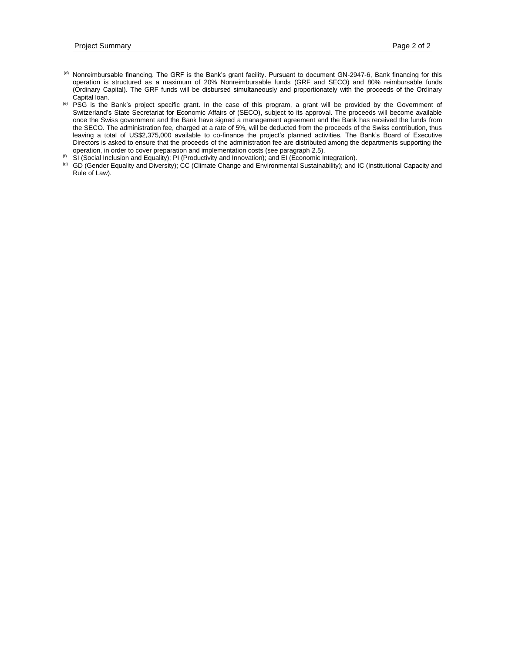- (d) Nonreimbursable financing. The GRF is the Bank's grant facility. Pursuant to document GN-2947-6, Bank financing for this operation is structured as a maximum of 20% Nonreimbursable funds (GRF and SECO) and 80% reimbursable funds (Ordinary Capital). The GRF funds will be disbursed simultaneously and proportionately with the proceeds of the Ordinary Capital loan.
- (e) PSG is the Bank's project specific grant. In the case of this program, a grant will be provided by the Government of Switzerland's State Secretariat for Economic Affairs of (SECO), subject to its approval. The proceeds will become available once the Swiss government and the Bank have signed a management agreement and the Bank has received the funds from the SECO. The administration fee, charged at a rate of 5%, will be deducted from the proceeds of the Swiss contribution, thus leaving a total of US\$2,375,000 available to co-finance the project's planned activities. The Bank's Board of Executive Directors is asked to ensure that the proceeds of the administration fee are distributed among the departments supporting the operation, in order to cover preparation and implementation costs (see paragraph [2.5\)](#page-20-0).
- $(6)$  SI (Social Inclusion and Equality); PI (Productivity and Innovation); and EI (Economic Integration).
- (g) GD (Gender Equality and Diversity); CC (Climate Change and Environmental Sustainability); and IC (Institutional Capacity and Rule of Law).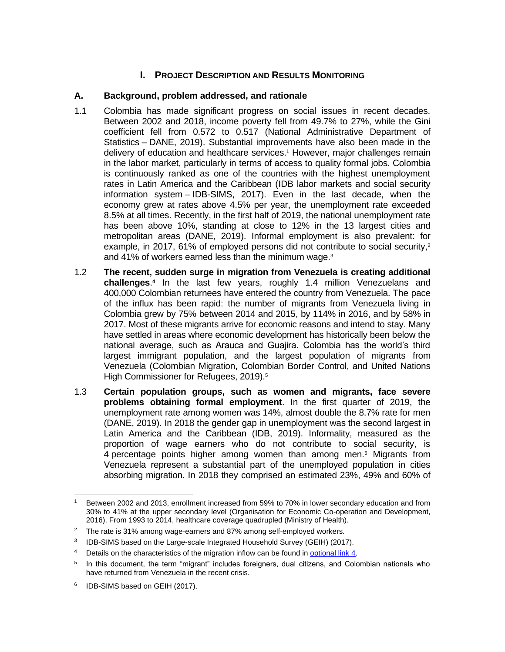## **I. PROJECT DESCRIPTION AND RESULTS MONITORING**

### **A. Background, problem addressed, and rationale**

- 1.1 Colombia has made significant progress on social issues in recent decades. Between 2002 and 2018, income poverty fell from 49.7% to 27%, while the Gini coefficient fell from 0.572 to 0.517 (National Administrative Department of Statistics – DANE, 2019). Substantial improvements have also been made in the delivery of education and healthcare services. <sup>1</sup> However, major challenges remain in the labor market, particularly in terms of access to quality formal jobs. Colombia is continuously ranked as one of the countries with the highest unemployment rates in Latin America and the Caribbean (IDB labor markets and social security information system – IDB-SIMS, 2017). Even in the last decade, when the economy grew at rates above 4.5% per year, the unemployment rate exceeded 8.5% at all times. Recently, in the first half of 2019, the national unemployment rate has been above 10%, standing at close to 12% in the 13 largest cities and metropolitan areas (DANE, 2019). Informal employment is also prevalent: for example, in 2017, 61% of employed persons did not contribute to social security,<sup>2</sup> and 41% of workers earned less than the minimum wage.<sup>3</sup>
- 1.2 **The recent, sudden surge in migration from Venezuela is creating additional challenges**. **4** In the last few years, roughly 1.4 million Venezuelans and 400,000 Colombian returnees have entered the country from Venezuela. The pace of the influx has been rapid: the number of migrants from Venezuela living in Colombia grew by 75% between 2014 and 2015, by 114% in 2016, and by 58% in 2017. Most of these migrants arrive for economic reasons and intend to stay. Many have settled in areas where economic development has historically been below the national average, such as Arauca and Guajira. Colombia has the world's third largest immigrant population, and the largest population of migrants from Venezuela (Colombian Migration, Colombian Border Control, and United Nations High Commissioner for Refugees, 2019).<sup>5</sup>
- 1.3 **Certain population groups, such as women and migrants, face severe problems obtaining formal employment**. In the first quarter of 2019, the unemployment rate among women was 14%, almost double the 8.7% rate for men (DANE, 2019). In 2018 the gender gap in unemployment was the second largest in Latin America and the Caribbean (IDB, 2019). Informality, measured as the proportion of wage earners who do not contribute to social security, is 4 percentage points higher among women than among men.<sup>6</sup> Migrants from Venezuela represent a substantial part of the unemployed population in cities absorbing migration. In 2018 they comprised an estimated 23%, 49% and 60% of

Between 2002 and 2013, enrollment increased from 59% to 70% in lower secondary education and from 30% to 41% at the upper secondary level (Organisation for Economic Co-operation and Development, 2016). From 1993 to 2014, healthcare coverage quadrupled (Ministry of Health).

<sup>&</sup>lt;sup>2</sup> The rate is 31% among wage-earners and 87% among self-employed workers.

<sup>&</sup>lt;sup>3</sup> IDB-SIMS based on the Large-scale Integrated Household Survey (GEIH) (2017).

<sup>&</sup>lt;sup>4</sup> Details on the characteristics of the migration inflow can be found in [optional link](http://idbdocs.iadb.org/wsdocs/getDocument.aspx?DOCNUM=EZSHARE-659572234-4) 4.

<sup>5</sup> In this document, the term "migrant" includes foreigners, dual citizens, and Colombian nationals who have returned from Venezuela in the recent crisis.

<sup>&</sup>lt;sup>6</sup> IDB-SIMS based on GEIH (2017).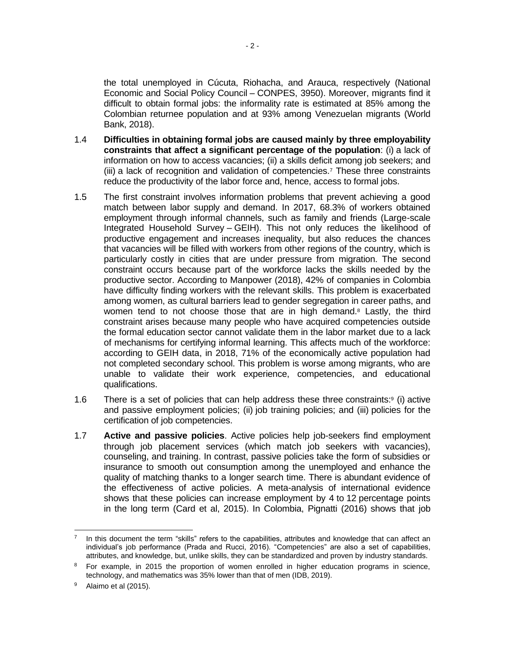the total unemployed in Cúcuta, Riohacha, and Arauca, respectively (National Economic and Social Policy Council – CONPES, 3950). Moreover, migrants find it difficult to obtain formal jobs: the informality rate is estimated at 85% among the Colombian returnee population and at 93% among Venezuelan migrants (World Bank, 2018).

- 1.4 **Difficulties in obtaining formal jobs are caused mainly by three employability constraints that affect a significant percentage of the population**: (i) a lack of information on how to access vacancies; (ii) a skills deficit among job seekers; and (iii) a lack of recognition and validation of competencies. <sup>7</sup> These three constraints reduce the productivity of the labor force and, hence, access to formal jobs.
- 1.5 The first constraint involves information problems that prevent achieving a good match between labor supply and demand. In 2017, 68.3% of workers obtained employment through informal channels, such as family and friends (Large-scale Integrated Household Survey – GEIH). This not only reduces the likelihood of productive engagement and increases inequality, but also reduces the chances that vacancies will be filled with workers from other regions of the country, which is particularly costly in cities that are under pressure from migration. The second constraint occurs because part of the workforce lacks the skills needed by the productive sector. According to Manpower (2018), 42% of companies in Colombia have difficulty finding workers with the relevant skills. This problem is exacerbated among women, as cultural barriers lead to gender segregation in career paths, and women tend to not choose those that are in high demand. $8$  Lastly, the third constraint arises because many people who have acquired competencies outside the formal education sector cannot validate them in the labor market due to a lack of mechanisms for certifying informal learning. This affects much of the workforce: according to GEIH data, in 2018, 71% of the economically active population had not completed secondary school. This problem is worse among migrants, who are unable to validate their work experience, competencies, and educational qualifications.
- 1.6 There is a set of policies that can help address these three constraints: $9$  (i) active and passive employment policies; (ii) job training policies; and (iii) policies for the certification of job competencies.
- 1.7 **Active and passive policies**. Active policies help job-seekers find employment through job placement services (which match job seekers with vacancies), counseling, and training. In contrast, passive policies take the form of subsidies or insurance to smooth out consumption among the unemployed and enhance the quality of matching thanks to a longer search time. There is abundant evidence of the effectiveness of active policies. A meta-analysis of international evidence shows that these policies can increase employment by 4 to 12 percentage points in the long term (Card et al, 2015). In Colombia, Pignatti (2016) shows that job

<sup>7</sup> In this document the term "skills" refers to the capabilities, attributes and knowledge that can affect an individual's job performance (Prada and Rucci, 2016). "Competencies" are also a set of capabilities, attributes, and knowledge, but, unlike skills, they can be standardized and proven by industry standards.

<sup>&</sup>lt;sup>8</sup> For example, in 2015 the proportion of women enrolled in higher education programs in science, technology, and mathematics was 35% lower than that of men (IDB, 2019).

 $9$  Alaimo et al (2015).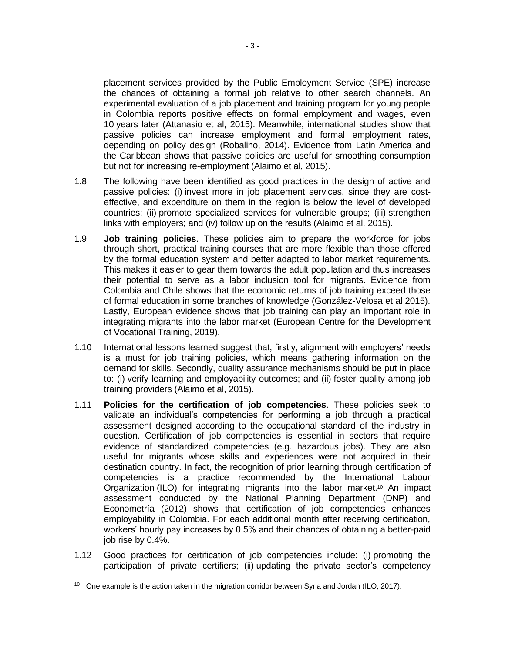placement services provided by the Public Employment Service (SPE) increase the chances of obtaining a formal job relative to other search channels. An experimental evaluation of a job placement and training program for young people in Colombia reports positive effects on formal employment and wages, even 10 years later (Attanasio et al, 2015). Meanwhile, international studies show that passive policies can increase employment and formal employment rates, depending on policy design (Robalino, 2014). Evidence from Latin America and the Caribbean shows that passive policies are useful for smoothing consumption but not for increasing re-employment (Alaimo et al, 2015).

- 1.8 The following have been identified as good practices in the design of active and passive policies: (i) invest more in job placement services, since they are costeffective, and expenditure on them in the region is below the level of developed countries; (ii) promote specialized services for vulnerable groups; (iii) strengthen links with employers; and (iv) follow up on the results (Alaimo et al, 2015).
- 1.9 **Job training policies**. These policies aim to prepare the workforce for jobs through short, practical training courses that are more flexible than those offered by the formal education system and better adapted to labor market requirements. This makes it easier to gear them towards the adult population and thus increases their potential to serve as a labor inclusion tool for migrants. Evidence from Colombia and Chile shows that the economic returns of job training exceed those of formal education in some branches of knowledge (González-Velosa et al 2015). Lastly, European evidence shows that job training can play an important role in integrating migrants into the labor market [\(European Centre for the Development](https://www.cedefop.europa.eu/files/6109_en.pdf)  [of Vocational Training, 2019\)](https://www.cedefop.europa.eu/files/6109_en.pdf).
- 1.10 International lessons learned suggest that, firstly, alignment with employers' needs is a must for job training policies, which means gathering information on the demand for skills. Secondly, quality assurance mechanisms should be put in place to: (i) verify learning and employability outcomes; and (ii) foster quality among job training providers (Alaimo et al, 2015).
- 1.11 **Policies for the certification of job competencies**. These policies seek to validate an individual's competencies for performing a job through a practical assessment designed according to the occupational standard of the industry in question. Certification of job competencies is essential in sectors that require evidence of standardized competencies (e.g. hazardous jobs). They are also useful for migrants whose skills and experiences were not acquired in their destination country. In fact, the recognition of prior learning through certification of competencies is a practice recommended by the International Labour Organization (ILO) for integrating migrants into the labor market.<sup>10</sup> An impact assessment conducted by the National Planning Department (DNP) and Econometría (2012) shows that certification of job competencies enhances employability in Colombia. For each additional month after receiving certification, workers' hourly pay increases by 0.5% and their chances of obtaining a better-paid job rise by 0.4%.
- 1.12 Good practices for certification of job competencies include: (i) promoting the participation of private certifiers; (ii) updating the private sector's competency

<sup>&</sup>lt;sup>10</sup> One example is the action taken in the migration corridor between Syria and Jordan (ILO, 2017).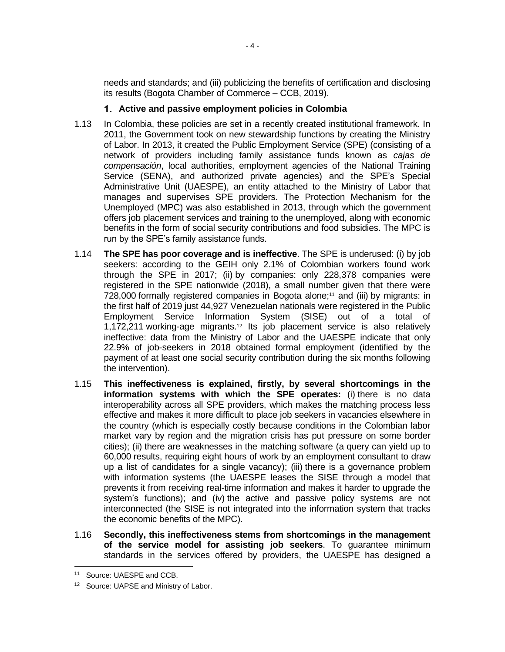needs and standards; and (iii) publicizing the benefits of certification and disclosing its results (Bogota Chamber of Commerce – CCB, 2019).

### **Active and passive employment policies in Colombia**

- 1.13 In Colombia, these policies are set in a recently created institutional framework. In 2011, the Government took on new stewardship functions by creating the Ministry of Labor. In 2013, it created the Public Employment Service (SPE) (consisting of a network of providers including family assistance funds known as *cajas de compensación*, local authorities, employment agencies of the National Training Service (SENA), and authorized private agencies) and the SPE's Special Administrative Unit (UAESPE), an entity attached to the Ministry of Labor that manages and supervises SPE providers. The Protection Mechanism for the Unemployed (MPC) was also established in 2013, through which the government offers job placement services and training to the unemployed, along with economic benefits in the form of social security contributions and food subsidies. The MPC is run by the SPE's family assistance funds.
- 1.14 **The SPE has poor coverage and is ineffective**. The SPE is underused: (i) by job seekers: according to the GEIH only 2.1% of Colombian workers found work through the SPE in 2017; (ii) by companies: only 228,378 companies were registered in the SPE nationwide (2018), a small number given that there were 728,000 formally registered companies in Bogota alone;<sup>11</sup> and (iii) by migrants: in the first half of 2019 just 44,927 Venezuelan nationals were registered in the Public Employment Service Information System (SISE) out of a total of 1,172,211 working-age migrants.<sup>12</sup> Its job placement service is also relatively ineffective: data from the Ministry of Labor and the UAESPE indicate that only 22.9% of job-seekers in 2018 obtained formal employment (identified by the payment of at least one social security contribution during the six months following the intervention).
- 1.15 **This ineffectiveness is explained, firstly, by several shortcomings in the information systems with which the SPE operates:** (i) there is no data interoperability across all SPE providers, which makes the matching process less effective and makes it more difficult to place job seekers in vacancies elsewhere in the country (which is especially costly because conditions in the Colombian labor market vary by region and the migration crisis has put pressure on some border cities); (ii) there are weaknesses in the matching software (a query can yield up to 60,000 results, requiring eight hours of work by an employment consultant to draw up a list of candidates for a single vacancy); (iii) there is a governance problem with information systems (the UAESPE leases the SISE through a model that prevents it from receiving real-time information and makes it harder to upgrade the system's functions); and (iv) the active and passive policy systems are not interconnected (the SISE is not integrated into the information system that tracks the economic benefits of the MPC).
- 1.16 **Secondly, this ineffectiveness stems from shortcomings in the management of the service model for assisting job seekers**. To guarantee minimum standards in the services offered by providers, the UAESPE has designed a

<sup>11</sup> Source: UAESPE and CCB.

<sup>12</sup> Source: UAPSE and Ministry of Labor.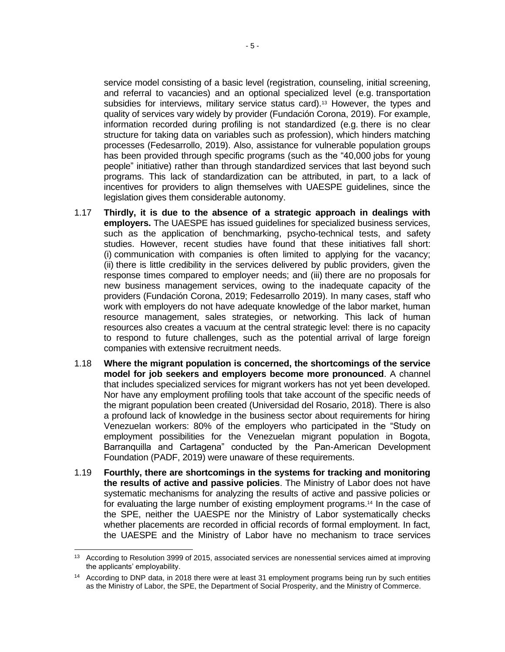service model consisting of a basic level (registration, counseling, initial screening, and referral to vacancies) and an optional specialized level (e.g. transportation subsidies for interviews, military service status card).<sup>13</sup> However, the types and quality of services vary widely by provider (Fundación Corona, 2019). For example, information recorded during profiling is not standardized (e.g. there is no clear structure for taking data on variables such as profession), which hinders matching processes (Fedesarrollo, 2019). Also, assistance for vulnerable population groups has been provided through specific programs (such as the "40,000 jobs for young people" initiative) rather than through standardized services that last beyond such programs. This lack of standardization can be attributed, in part, to a lack of incentives for providers to align themselves with UAESPE guidelines, since the legislation gives them considerable autonomy.

- 1.17 **Thirdly, it is due to the absence of a strategic approach in dealings with employers.** The UAESPE has issued guidelines for specialized business services, such as the application of benchmarking, psycho-technical tests, and safety studies. However, recent studies have found that these initiatives fall short: (i) communication with companies is often limited to applying for the vacancy; (ii) there is little credibility in the services delivered by public providers, given the response times compared to employer needs; and (iii) there are no proposals for new business management services, owing to the inadequate capacity of the providers (Fundación Corona, 2019; Fedesarrollo 2019). In many cases, staff who work with employers do not have adequate knowledge of the labor market, human resource management, sales strategies, or networking. This lack of human resources also creates a vacuum at the central strategic level: there is no capacity to respond to future challenges, such as the potential arrival of large foreign companies with extensive recruitment needs.
- 1.18 **Where the migrant population is concerned, the shortcomings of the service model for job seekers and employers become more pronounced**. A channel that includes specialized services for migrant workers has not yet been developed. Nor have any employment profiling tools that take account of the specific needs of the migrant population been created (Universidad del Rosario, 2018). There is also a profound lack of knowledge in the business sector about requirements for hiring Venezuelan workers: 80% of the employers who participated in the "Study on employment possibilities for the Venezuelan migrant population in Bogota, Barranquilla and Cartagena" conducted by the Pan-American Development Foundation (PADF, 2019) were unaware of these requirements.
- 1.19 **Fourthly, there are shortcomings in the systems for tracking and monitoring the results of active and passive policies**. The Ministry of Labor does not have systematic mechanisms for analyzing the results of active and passive policies or for evaluating the large number of existing employment programs.<sup>14</sup> In the case of the SPE, neither the UAESPE nor the Ministry of Labor systematically checks whether placements are recorded in official records of formal employment. In fact, the UAESPE and the Ministry of Labor have no mechanism to trace services

<sup>&</sup>lt;sup>13</sup> According to Resolution 3999 of 2015, associated services are nonessential services aimed at improving the applicants' employability.

<sup>&</sup>lt;sup>14</sup> According to DNP data, in 2018 there were at least 31 employment programs being run by such entities as the Ministry of Labor, the SPE, the Department of Social Prosperity, and the Ministry of Commerce.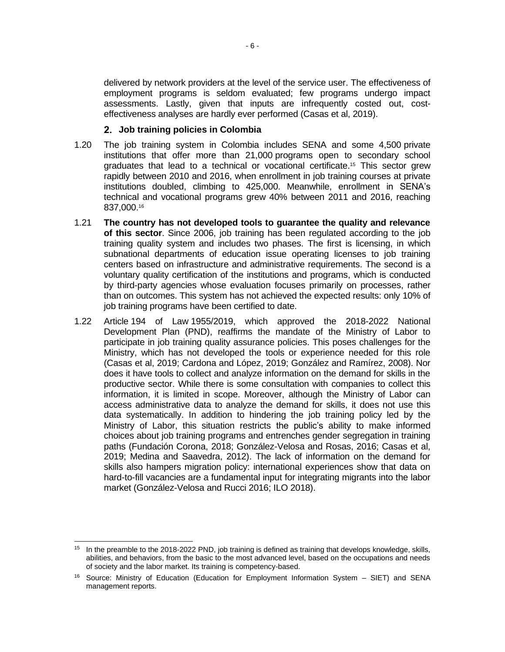delivered by network providers at the level of the service user. The effectiveness of employment programs is seldom evaluated; few programs undergo impact assessments. Lastly, given that inputs are infrequently costed out, costeffectiveness analyses are hardly ever performed (Casas et al, 2019).

#### **Job training policies in Colombia**

- 1.20 The job training system in Colombia includes SENA and some 4,500 private institutions that offer more than 21,000 programs open to secondary school graduates that lead to a technical or vocational certificate.<sup>15</sup> This sector grew rapidly between 2010 and 2016, when enrollment in job training courses at private institutions doubled, climbing to 425,000. Meanwhile, enrollment in SENA's technical and vocational programs grew 40% between 2011 and 2016, reaching 837,000. 16
- 1.21 **The country has not developed tools to guarantee the quality and relevance of this sector**. Since 2006, job training has been regulated according to the job training quality system and includes two phases. The first is licensing, in which subnational departments of education issue operating licenses to job training centers based on infrastructure and administrative requirements. The second is a voluntary quality certification of the institutions and programs, which is conducted by third-party agencies whose evaluation focuses primarily on processes, rather than on outcomes. This system has not achieved the expected results: only 10% of job training programs have been certified to date.
- 1.22 Article 194 of Law 1955/2019, which approved the 2018-2022 National Development Plan (PND), reaffirms the mandate of the Ministry of Labor to participate in job training quality assurance policies. This poses challenges for the Ministry, which has not developed the tools or experience needed for this role (Casas et al, 2019; Cardona and López, 2019; González and Ramírez, 2008). Nor does it have tools to collect and analyze information on the demand for skills in the productive sector. While there is some consultation with companies to collect this information, it is limited in scope. Moreover, although the Ministry of Labor can access administrative data to analyze the demand for skills, it does not use this data systematically. In addition to hindering the job training policy led by the Ministry of Labor, this situation restricts the public's ability to make informed choices about job training programs and entrenches gender segregation in training paths (Fundación Corona, 2018; González-Velosa and Rosas, 2016; Casas et al, 2019; Medina and Saavedra, 2012). The lack of information on the demand for skills also hampers migration policy: international experiences show that data on hard-to-fill vacancies are a fundamental input for integrating migrants into the labor market (González-Velosa and Rucci 2016; ILO 2018).

<sup>&</sup>lt;sup>15</sup> In the preamble to the 2018-2022 PND, job training is defined as training that develops knowledge, skills, abilities, and behaviors, from the basic to the most advanced level, based on the occupations and needs of society and the labor market. Its training is competency-based.

<sup>16</sup> Source: Ministry of Education (Education for Employment Information System – SIET) and SENA management reports.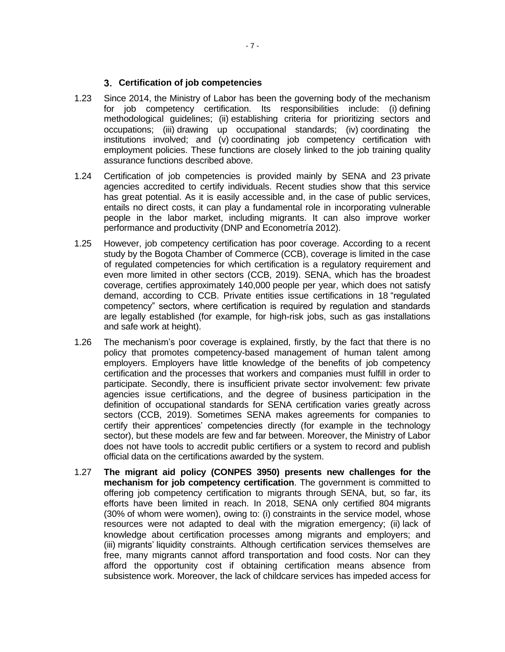#### **Certification of job competencies**

- 1.23 Since 2014, the Ministry of Labor has been the governing body of the mechanism for job competency certification. Its responsibilities include: (i) defining methodological guidelines; (ii) establishing criteria for prioritizing sectors and occupations; (iii) drawing up occupational standards; (iv) coordinating the institutions involved; and (v) coordinating job competency certification with employment policies. These functions are closely linked to the job training quality assurance functions described above.
- 1.24 Certification of job competencies is provided mainly by SENA and 23 private agencies accredited to certify individuals. Recent studies show that this service has great potential. As it is easily accessible and, in the case of public services, entails no direct costs, it can play a fundamental role in incorporating vulnerable people in the labor market, including migrants. It can also improve worker performance and productivity (DNP and Econometría 2012).
- 1.25 However, job competency certification has poor coverage. According to a recent study by the Bogota Chamber of Commerce (CCB), coverage is limited in the case of regulated competencies for which certification is a regulatory requirement and even more limited in other sectors (CCB, 2019). SENA, which has the broadest coverage, certifies approximately 140,000 people per year, which does not satisfy demand, according to CCB. Private entities issue certifications in 18 "regulated competency" sectors, where certification is required by regulation and standards are legally established (for example, for high-risk jobs, such as gas installations and safe work at height).
- 1.26 The mechanism's poor coverage is explained, firstly, by the fact that there is no policy that promotes competency-based management of human talent among employers. Employers have little knowledge of the benefits of job competency certification and the processes that workers and companies must fulfill in order to participate. Secondly, there is insufficient private sector involvement: few private agencies issue certifications, and the degree of business participation in the definition of occupational standards for SENA certification varies greatly across sectors (CCB, 2019). Sometimes SENA makes agreements for companies to certify their apprentices' competencies directly (for example in the technology sector), but these models are few and far between. Moreover, the Ministry of Labor does not have tools to accredit public certifiers or a system to record and publish official data on the certifications awarded by the system.
- 1.27 **The migrant aid policy (CONPES 3950) presents new challenges for the mechanism for job competency certification**. The government is committed to offering job competency certification to migrants through SENA, but, so far, its efforts have been limited in reach. In 2018, SENA only certified 804 migrants (30% of whom were women), owing to: (i) constraints in the service model, whose resources were not adapted to deal with the migration emergency; (ii) lack of knowledge about certification processes among migrants and employers; and (iii) migrants' liquidity constraints. Although certification services themselves are free, many migrants cannot afford transportation and food costs. Nor can they afford the opportunity cost if obtaining certification means absence from subsistence work. Moreover, the lack of childcare services has impeded access for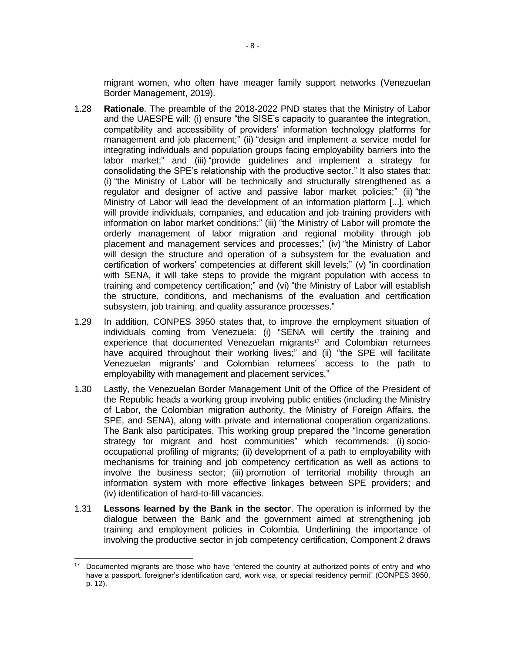migrant women, who often have meager family support networks (Venezuelan Border Management, 2019).

- 1.28 **Rationale**. The preamble of the 2018-2022 PND states that the Ministry of Labor and the UAESPE will: (i) ensure "the SISE's capacity to guarantee the integration, compatibility and accessibility of providers' information technology platforms for management and job placement;" (ii) "design and implement a service model for integrating individuals and population groups facing employability barriers into the labor market;" and (iii) "provide guidelines and implement a strategy for consolidating the SPE's relationship with the productive sector." It also states that: (i) "the Ministry of Labor will be technically and structurally strengthened as a regulator and designer of active and passive labor market policies;" (ii) "the Ministry of Labor will lead the development of an information platform [...], which will provide individuals, companies, and education and job training providers with information on labor market conditions;" (iii) "the Ministry of Labor will promote the orderly management of labor migration and regional mobility through job placement and management services and processes;" (iv) "the Ministry of Labor will design the structure and operation of a subsystem for the evaluation and certification of workers' competencies at different skill levels;" (v) "in coordination with SENA, it will take steps to provide the migrant population with access to training and competency certification;" and (vi) "the Ministry of Labor will establish the structure, conditions, and mechanisms of the evaluation and certification subsystem, job training, and quality assurance processes."
- 1.29 In addition, CONPES 3950 states that, to improve the employment situation of individuals coming from Venezuela: (i) "SENA will certify the training and experience that documented Venezuelan migrants<sup>17</sup> and Colombian returnees have acquired throughout their working lives;" and (ii) "the SPE will facilitate Venezuelan migrants' and Colombian returnees' access to the path to employability with management and placement services."
- 1.30 Lastly, the Venezuelan Border Management Unit of the Office of the President of the Republic heads a working group involving public entities (including the Ministry of Labor, the Colombian migration authority, the Ministry of Foreign Affairs, the SPE, and SENA), along with private and international cooperation organizations. The Bank also participates. This working group prepared the "Income generation strategy for migrant and host communities" which recommends: (i) sociooccupational profiling of migrants; (ii) development of a path to employability with mechanisms for training and job competency certification as well as actions to involve the business sector; (iii) promotion of territorial mobility through an information system with more effective linkages between SPE providers; and (iv) identification of hard-to-fill vacancies.
- 1.31 **Lessons learned by the Bank in the sector**. The operation is informed by the dialogue between the Bank and the government aimed at strengthening job training and employment policies in Colombia. Underlining the importance of involving the productive sector in job competency certification, Component 2 draws

<sup>&</sup>lt;sup>17</sup> Documented migrants are those who have "entered the country at authorized points of entry and who have a passport, foreigner's identification card, work visa, or special residency permit" (CONPES 3950, p. 12).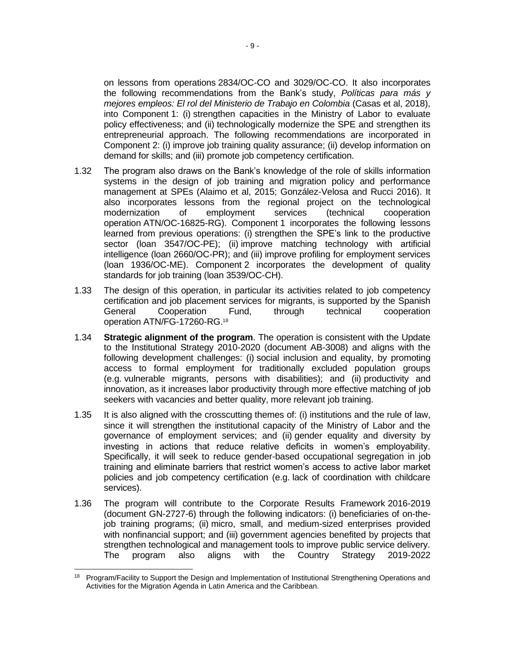on lessons from operations 2834/OC-CO and 3029/OC-CO. It also incorporates the following recommendations from the Bank's study, *Políticas para más y mejores empleos: El rol del Ministerio de Trabajo en Colombia* (Casas et al, 2018), into Component 1: (i) strengthen capacities in the Ministry of Labor to evaluate policy effectiveness; and (ii) technologically modernize the SPE and strengthen its entrepreneurial approach. The following recommendations are incorporated in Component 2: (i) improve job training quality assurance; (ii) develop information on demand for skills; and (iii) promote job competency certification.

- 1.32 The program also draws on the Bank's knowledge of the role of skills information systems in the design of job training and migration policy and performance management at SPEs (Alaimo et al, 2015; González-Velosa and Rucci 2016). It also incorporates lessons from the regional project on the technological modernization of employment services (technical cooperation operation ATN/OC-16825-RG). Component 1 incorporates the following lessons learned from previous operations: (i) strengthen the SPE's link to the productive sector (loan 3547/OC-PE); (ii) improve matching technology with artificial intelligence (loan 2660/OC-PR); and (iii) improve profiling for employment services (loan 1936/OC-ME). Component 2 incorporates the development of quality standards for job training (loan 3539/OC-CH).
- 1.33 The design of this operation, in particular its activities related to job competency certification and job placement services for migrants, is supported by the Spanish General Cooperation Fund, through technical cooperation operation ATN/FG-17260-RG.<sup>18</sup>
- 1.34 **Strategic alignment of the program**. The operation is consistent with the Update to the Institutional Strategy 2010-2020 (document AB-3008) and aligns with the following development challenges: (i) social inclusion and equality, by promoting access to formal employment for traditionally excluded population groups (e.g. vulnerable migrants, persons with disabilities); and (ii) productivity and innovation, as it increases labor productivity through more effective matching of job seekers with vacancies and better quality, more relevant job training.
- 1.35 It is also aligned with the crosscutting themes of: (i) institutions and the rule of law, since it will strengthen the institutional capacity of the Ministry of Labor and the governance of employment services; and (ii) gender equality and diversity by investing in actions that reduce relative deficits in women's employability. Specifically, it will seek to reduce gender-based occupational segregation in job training and eliminate barriers that restrict women's access to active labor market policies and job competency certification (e.g. lack of coordination with childcare services).
- 1.36 The program will contribute to the Corporate Results Framework 2016-2019 (document GN-2727-6) through the following indicators: (i) beneficiaries of on-thejob training programs; (ii) micro, small, and medium-sized enterprises provided with nonfinancial support; and (iii) government agencies benefited by projects that strengthen technological and management tools to improve public service delivery. The program also aligns with the Country Strategy 2019-2022

<sup>18</sup> Program/Facility to Support the Design and Implementation of Institutional Strengthening Operations and Activities for the Migration Agenda in Latin America and the Caribbean.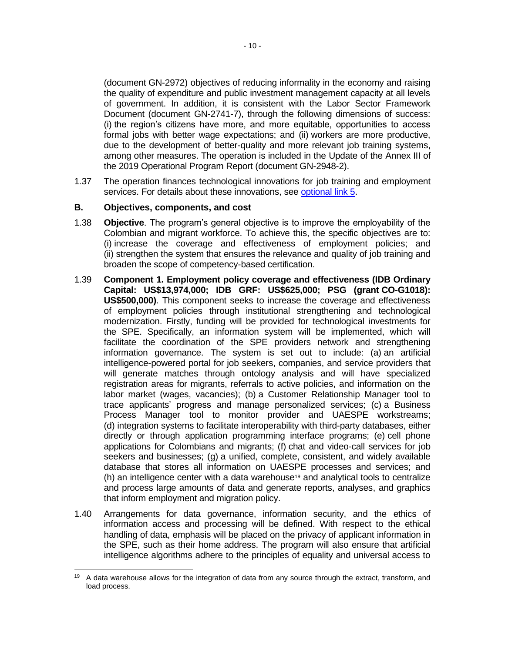(document GN-2972) objectives of reducing informality in the economy and raising the quality of expenditure and public investment management capacity at all levels of government. In addition, it is consistent with the Labor Sector Framework Document (document GN-2741-7), through the following dimensions of success: (i) the region's citizens have more, and more equitable, opportunities to access formal jobs with better wage expectations; and (ii) workers are more productive, due to the development of better-quality and more relevant job training systems, among other measures. The operation is included in the Update of the Annex III of the 2019 Operational Program Report (document GN-2948-2).

1.37 The operation finances technological innovations for job training and employment services. For details about these innovations, see [optional link](http://idbdocs.iadb.org/wsdocs/getDocument.aspx?DOCNUM=EZSHARE-659572234-47) 5.

#### **B. Objectives, components, and cost**

- 1.38 **Objective**. The program's general objective is to improve the employability of the Colombian and migrant workforce. To achieve this, the specific objectives are to: (i) increase the coverage and effectiveness of employment policies; and (ii) strengthen the system that ensures the relevance and quality of job training and broaden the scope of competency-based certification.
- 1.39 **Component 1. Employment policy coverage and effectiveness (IDB Ordinary Capital: US\$13,974,000; IDB GRF: US\$625,000; PSG (grant CO-G1018): US\$500,000)**. This component seeks to increase the coverage and effectiveness of employment policies through institutional strengthening and technological modernization. Firstly, funding will be provided for technological investments for the SPE. Specifically, an information system will be implemented, which will facilitate the coordination of the SPE providers network and strengthening information governance. The system is set out to include: (a) an artificial intelligence-powered portal for job seekers, companies, and service providers that will generate matches through ontology analysis and will have specialized registration areas for migrants, referrals to active policies, and information on the labor market (wages, vacancies); (b) a Customer Relationship Manager tool to trace applicants' progress and manage personalized services; (c) a Business Process Manager tool to monitor provider and UAESPE workstreams; (d) integration systems to facilitate interoperability with third-party databases, either directly or through application programming interface programs; (e) cell phone applications for Colombians and migrants; (f) chat and video-call services for job seekers and businesses; (g) a unified, complete, consistent, and widely available database that stores all information on UAESPE processes and services; and  $(h)$  an intelligence center with a data warehouse<sup>19</sup> and analytical tools to centralize and process large amounts of data and generate reports, analyses, and graphics that inform employment and migration policy.
- 1.40 Arrangements for data governance, information security, and the ethics of information access and processing will be defined. With respect to the ethical handling of data, emphasis will be placed on the privacy of applicant information in the SPE, such as their home address. The program will also ensure that artificial intelligence algorithms adhere to the principles of equality and universal access to

<sup>&</sup>lt;sup>19</sup> A data warehouse allows for the integration of data from any source through the extract, transform, and load process.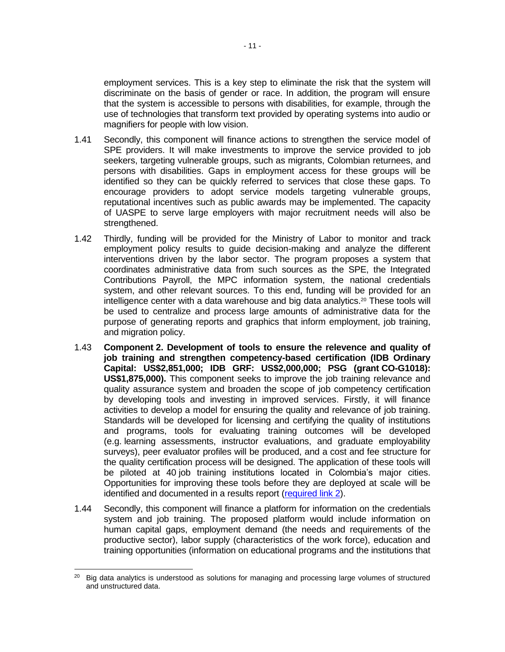employment services. This is a key step to eliminate the risk that the system will discriminate on the basis of gender or race. In addition, the program will ensure that the system is accessible to persons with disabilities, for example, through the use of technologies that transform text provided by operating systems into audio or magnifiers for people with low vision.

- 1.41 Secondly, this component will finance actions to strengthen the service model of SPE providers. It will make investments to improve the service provided to job seekers, targeting vulnerable groups, such as migrants, Colombian returnees, and persons with disabilities. Gaps in employment access for these groups will be identified so they can be quickly referred to services that close these gaps. To encourage providers to adopt service models targeting vulnerable groups, reputational incentives such as public awards may be implemented. The capacity of UASPE to serve large employers with major recruitment needs will also be strengthened.
- 1.42 Thirdly, funding will be provided for the Ministry of Labor to monitor and track employment policy results to guide decision-making and analyze the different interventions driven by the labor sector. The program proposes a system that coordinates administrative data from such sources as the SPE, the Integrated Contributions Payroll, the MPC information system, the national credentials system, and other relevant sources. To this end, funding will be provided for an intelligence center with a data warehouse and big data analytics.<sup>20</sup> These tools will be used to centralize and process large amounts of administrative data for the purpose of generating reports and graphics that inform employment, job training, and migration policy.
- 1.43 **Component 2. Development of tools to ensure the relevence and quality of job training and strengthen competency-based certification (IDB Ordinary Capital: US\$2,851,000; IDB GRF: US\$2,000,000; PSG (grant CO-G1018): US\$1,875,000).** This component seeks to improve the job training relevance and quality assurance system and broaden the scope of job competency certification by developing tools and investing in improved services. Firstly, it will finance activities to develop a model for ensuring the quality and relevance of job training. Standards will be developed for licensing and certifying the quality of institutions and programs, tools for evaluating training outcomes will be developed (e.g. learning assessments, instructor evaluations, and graduate employability surveys), peer evaluator profiles will be produced, and a cost and fee structure for the quality certification process will be designed. The application of these tools will be piloted at 40 job training institutions located in Colombia's major cities. Opportunities for improving these tools before they are deployed at scale will be identified and documented in a results report [\(required link](http://idbdocs.iadb.org/wsdocs/getDocument.aspx?DOCNUM=EZSHARE-659572234-48) 2).
- 1.44 Secondly, this component will finance a platform for information on the credentials system and job training. The proposed platform would include information on human capital gaps, employment demand (the needs and requirements of the productive sector), labor supply (characteristics of the work force), education and training opportunities (information on educational programs and the institutions that

<sup>&</sup>lt;sup>20</sup> Big data analytics is understood as solutions for managing and processing large volumes of structured and unstructured data.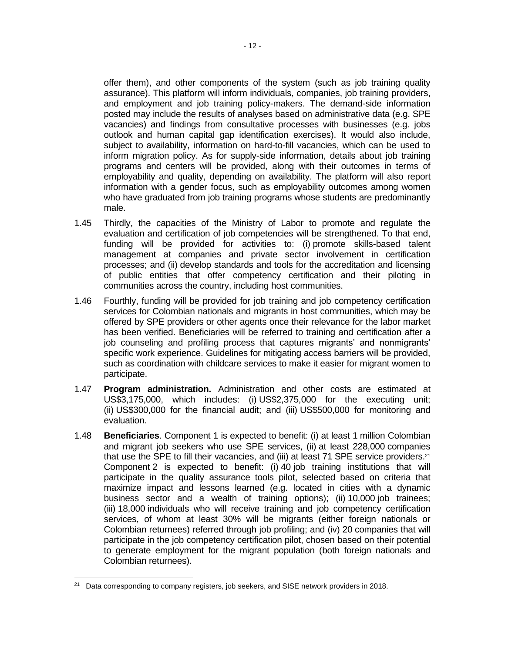offer them), and other components of the system (such as job training quality assurance). This platform will inform individuals, companies, job training providers, and employment and job training policy-makers. The demand-side information posted may include the results of analyses based on administrative data (e.g. SPE vacancies) and findings from consultative processes with businesses (e.g. jobs outlook and human capital gap identification exercises). It would also include, subject to availability, information on hard-to-fill vacancies, which can be used to inform migration policy. As for supply-side information, details about job training programs and centers will be provided, along with their outcomes in terms of employability and quality, depending on availability. The platform will also report information with a gender focus, such as employability outcomes among women who have graduated from job training programs whose students are predominantly male.

- 1.45 Thirdly, the capacities of the Ministry of Labor to promote and regulate the evaluation and certification of job competencies will be strengthened. To that end, funding will be provided for activities to: (i) promote skills-based talent management at companies and private sector involvement in certification processes; and (ii) develop standards and tools for the accreditation and licensing of public entities that offer competency certification and their piloting in communities across the country, including host communities.
- 1.46 Fourthly, funding will be provided for job training and job competency certification services for Colombian nationals and migrants in host communities, which may be offered by SPE providers or other agents once their relevance for the labor market has been verified. Beneficiaries will be referred to training and certification after a job counseling and profiling process that captures migrants' and nonmigrants' specific work experience. Guidelines for mitigating access barriers will be provided, such as coordination with childcare services to make it easier for migrant women to participate.
- 1.47 **Program administration.** Administration and other costs are estimated at US\$3,175,000, which includes: (i) US\$2,375,000 for the executing unit; (ii) US\$300,000 for the financial audit; and (iii) US\$500,000 for monitoring and evaluation.
- 1.48 **Beneficiaries**. Component 1 is expected to benefit: (i) at least 1 million Colombian and migrant job seekers who use SPE services, (ii) at least 228,000 companies that use the SPE to fill their vacancies, and (iii) at least 71 SPE service providers.<sup>21</sup> Component 2 is expected to benefit: (i) 40 job training institutions that will participate in the quality assurance tools pilot, selected based on criteria that maximize impact and lessons learned (e.g. located in cities with a dynamic business sector and a wealth of training options); (ii) 10,000 job trainees; (iii) 18,000 individuals who will receive training and job competency certification services, of whom at least 30% will be migrants (either foreign nationals or Colombian returnees) referred through job profiling; and (iv) 20 companies that will participate in the job competency certification pilot, chosen based on their potential to generate employment for the migrant population (both foreign nationals and Colombian returnees).

<sup>&</sup>lt;sup>21</sup> Data corresponding to company registers, job seekers, and SISE network providers in 2018.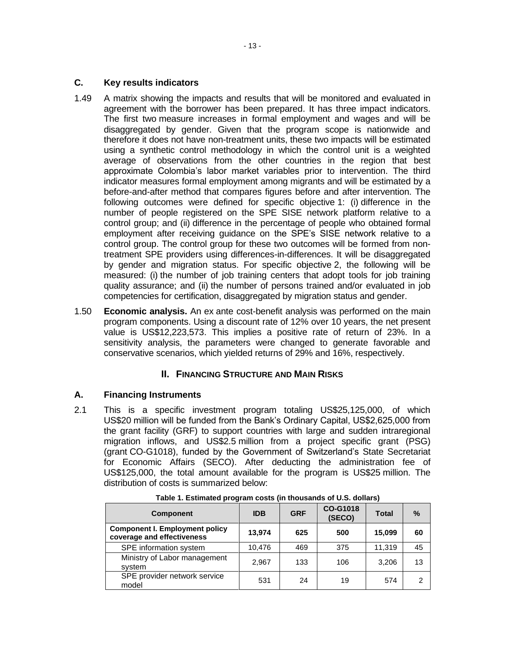### **C. Key results indicators**

- 1.49 A matrix showing the impacts and results that will be monitored and evaluated in agreement with the borrower has been prepared. It has three impact indicators. The first two measure increases in formal employment and wages and will be disaggregated by gender. Given that the program scope is nationwide and therefore it does not have non-treatment units, these two impacts will be estimated using a synthetic control methodology in which the control unit is a weighted average of observations from the other countries in the region that best approximate Colombia's labor market variables prior to intervention. The third indicator measures formal employment among migrants and will be estimated by a before-and-after method that compares figures before and after intervention. The following outcomes were defined for specific objective 1: (i) difference in the number of people registered on the SPE SISE network platform relative to a control group; and (ii) difference in the percentage of people who obtained formal employment after receiving guidance on the SPE's SISE network relative to a control group. The control group for these two outcomes will be formed from nontreatment SPE providers using differences-in-differences. It will be disaggregated by gender and migration status. For specific objective 2, the following will be measured: (i) the number of job training centers that adopt tools for job training quality assurance; and (ii) the number of persons trained and/or evaluated in job competencies for certification, disaggregated by migration status and gender.
- 1.50 **Economic analysis.** An ex ante cost-benefit analysis was performed on the main program components. Using a discount rate of 12% over 10 years, the net present value is US\$12,223,573. This implies a positive rate of return of 23%. In a sensitivity analysis, the parameters were changed to generate favorable and conservative scenarios, which yielded returns of 29% and 16%, respectively.

### **II. FINANCING STRUCTURE AND MAIN RISKS**

### **A. Financing Instruments**

2.1 This is a specific investment program totaling US\$25,125,000, of which US\$20 million will be funded from the Bank's Ordinary Capital, US\$2,625,000 from the grant facility (GRF) to support countries with large and sudden intraregional migration inflows, and US\$2.5 million from a project specific grant (PSG) (grant CO-G1018), funded by the Government of Switzerland's State Secretariat for Economic Affairs (SECO). After deducting the administration fee of US\$125,000, the total amount available for the program is US\$25 million. The distribution of costs is summarized below:

| <b>Component</b>                                                    | <b>IDB</b> | <b>GRF</b> | CO-G1018<br>(SECO) | <b>Total</b> | $\frac{0}{0}$ |
|---------------------------------------------------------------------|------------|------------|--------------------|--------------|---------------|
| <b>Component I. Employment policy</b><br>coverage and effectiveness | 13,974     | 625        | 500                | 15,099       | 60            |
| SPE information system                                              | 10,476     | 469        | 375                | 11.319       | 45            |
| Ministry of Labor management<br>system                              | 2,967      | 133        | 106                | 3,206        | 13            |
| SPE provider network service<br>model                               | 531        | 24         | 19                 | 574          | 2             |

**Table 1. Estimated program costs (in thousands of U.S. dollars)**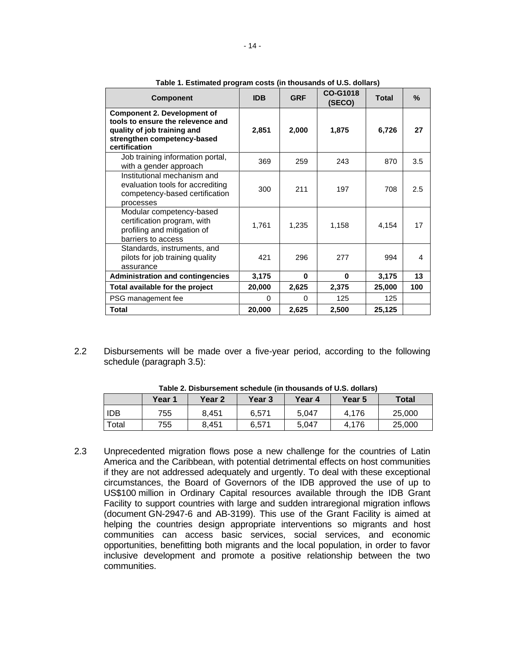| <b>Component</b>                                                                                                                                       | <b>IDB</b> | <b>GRF</b> | CO-G1018<br>(SECO) | <b>Total</b> | $\%$ |
|--------------------------------------------------------------------------------------------------------------------------------------------------------|------------|------------|--------------------|--------------|------|
| <b>Component 2. Development of</b><br>tools to ensure the relevence and<br>quality of job training and<br>strengthen competency-based<br>certification | 2,851      | 2,000      | 1,875              | 6,726        | 27   |
| Job training information portal,<br>with a gender approach                                                                                             | 369        | 259        | 243                | 870          | 3.5  |
| Institutional mechanism and<br>evaluation tools for accrediting<br>competency-based certification<br>processes                                         | 300        | 211        | 197                | 708          | 2.5  |
| Modular competency-based<br>certification program, with<br>profiling and mitigation of<br>barriers to access                                           | 1,761      | 1,235      | 1,158              | 4,154        | 17   |
| Standards, instruments, and<br>pilots for job training quality<br>assurance                                                                            | 421        | 296        | 277                | 994          | 4    |
| <b>Administration and contingencies</b>                                                                                                                | 3,175      | 0          | $\bf{0}$           | 3,175        | 13   |
| Total available for the project                                                                                                                        | 20,000     | 2,625      | 2,375              | 25,000       | 100  |
| PSG management fee                                                                                                                                     | 0          | 0          | 125                | 125          |      |
| <b>Total</b>                                                                                                                                           | 20,000     | 2,625      | 2,500              | 25,125       |      |

**Table 1. Estimated program costs (in thousands of U.S. dollars)**

2.2 Disbursements will be made over a five-year period, according to the following schedule (paragraph [3.5\)](#page-23-1):

|       | וטווסט ביש וט טאוועט ווי טוויטשטוויטט וויטווסט וויסט וויסט וויסט וויסט וויסט |        |               |        |        |              |  |  |  |  |  |  |
|-------|------------------------------------------------------------------------------|--------|---------------|--------|--------|--------------|--|--|--|--|--|--|
|       | Year 1                                                                       | Year 2 | <b>Year 3</b> | Year 4 | Year 5 | <b>Total</b> |  |  |  |  |  |  |
| idb   | 755                                                                          | 8.451  | 6.571         | 5.047  | 4.176  | 25,000       |  |  |  |  |  |  |
| Total | 755                                                                          | 8.451  | 6,571         | 5,047  | 4.176  | 25,000       |  |  |  |  |  |  |

**Table 2. Disbursement schedule (in thousands of U.S. dollars)**

2.3 Unprecedented migration flows pose a new challenge for the countries of Latin America and the Caribbean, with potential detrimental effects on host communities if they are not addressed adequately and urgently. To deal with these exceptional circumstances, the Board of Governors of the IDB approved the use of up to US\$100 million in Ordinary Capital resources available through the IDB Grant Facility to support countries with large and sudden intraregional migration inflows (document GN-2947-6 and AB-3199). This use of the Grant Facility is aimed at helping the countries design appropriate interventions so migrants and host communities can access basic services, social services, and economic opportunities, benefitting both migrants and the local population, in order to favor inclusive development and promote a positive relationship between the two communities.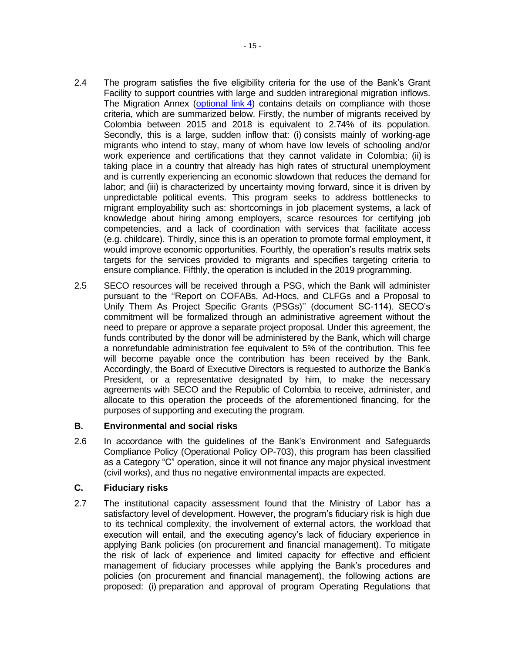- 2.4 The program satisfies the five eligibility criteria for the use of the Bank's Grant Facility to support countries with large and sudden intraregional migration inflows. The Migration Annex [\(optional link](http://idbdocs.iadb.org/wsdocs/getDocument.aspx?DOCNUM=EZSHARE-659572234-4) 4) contains details on compliance with those criteria, which are summarized below. Firstly, the number of migrants received by Colombia between 2015 and 2018 is equivalent to 2.74% of its population. Secondly, this is a large, sudden inflow that: (i) consists mainly of working-age migrants who intend to stay, many of whom have low levels of schooling and/or work experience and certifications that they cannot validate in Colombia; (ii) is taking place in a country that already has high rates of structural unemployment and is currently experiencing an economic slowdown that reduces the demand for labor; and (iii) is characterized by uncertainty moving forward, since it is driven by unpredictable political events. This program seeks to address bottlenecks to migrant employability such as: shortcomings in job placement systems, a lack of knowledge about hiring among employers, scarce resources for certifying job competencies, and a lack of coordination with services that facilitate access (e.g. childcare). Thirdly, since this is an operation to promote formal employment, it would improve economic opportunities. Fourthly, the operation's results matrix sets targets for the services provided to migrants and specifies targeting criteria to ensure compliance. Fifthly, the operation is included in the 2019 programming.
- <span id="page-20-0"></span>2.5 SECO resources will be received through a PSG, which the Bank will administer pursuant to the ''Report on COFABs, Ad-Hocs, and CLFGs and a Proposal to Unify Them As Project Specific Grants (PSGs)'' (document SC-114). SECO's commitment will be formalized through an administrative agreement without the need to prepare or approve a separate project proposal. Under this agreement, the funds contributed by the donor will be administered by the Bank, which will charge a nonrefundable administration fee equivalent to 5% of the contribution. This fee will become payable once the contribution has been received by the Bank. Accordingly, the Board of Executive Directors is requested to authorize the Bank's President, or a representative designated by him, to make the necessary agreements with SECO and the Republic of Colombia to receive, administer, and allocate to this operation the proceeds of the aforementioned financing, for the purposes of supporting and executing the program.

### **B. Environmental and social risks**

2.6 In accordance with the guidelines of the Bank's Environment and Safeguards Compliance Policy (Operational Policy OP-703), this program has been classified as a Category "C" operation, since it will not finance any major physical investment (civil works), and thus no negative environmental impacts are expected.

### **C. Fiduciary risks**

2.7 The institutional capacity assessment found that the Ministry of Labor has a satisfactory level of development. However, the program's fiduciary risk is high due to its technical complexity, the involvement of external actors, the workload that execution will entail, and the executing agency's lack of fiduciary experience in applying Bank policies (on procurement and financial management). To mitigate the risk of lack of experience and limited capacity for effective and efficient management of fiduciary processes while applying the Bank's procedures and policies (on procurement and financial management), the following actions are proposed: (i) preparation and approval of program Operating Regulations that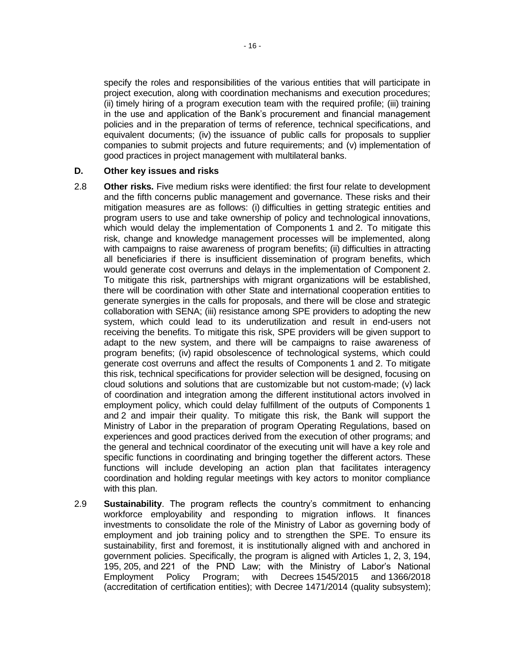specify the roles and responsibilities of the various entities that will participate in project execution, along with coordination mechanisms and execution procedures; (ii) timely hiring of a program execution team with the required profile; (iii) training in the use and application of the Bank's procurement and financial management policies and in the preparation of terms of reference, technical specifications, and equivalent documents; (iv) the issuance of public calls for proposals to supplier companies to submit projects and future requirements; and (v) implementation of good practices in project management with multilateral banks.

#### **D. Other key issues and risks**

- 2.8 **Other risks.** Five medium risks were identified: the first four relate to development and the fifth concerns public management and governance. These risks and their mitigation measures are as follows: (i) difficulties in getting strategic entities and program users to use and take ownership of policy and technological innovations, which would delay the implementation of Components 1 and 2. To mitigate this risk, change and knowledge management processes will be implemented, along with campaigns to raise awareness of program benefits; (ii) difficulties in attracting all beneficiaries if there is insufficient dissemination of program benefits, which would generate cost overruns and delays in the implementation of Component 2. To mitigate this risk, partnerships with migrant organizations will be established, there will be coordination with other State and international cooperation entities to generate synergies in the calls for proposals, and there will be close and strategic collaboration with SENA; (iii) resistance among SPE providers to adopting the new system, which could lead to its underutilization and result in end-users not receiving the benefits. To mitigate this risk, SPE providers will be given support to adapt to the new system, and there will be campaigns to raise awareness of program benefits; (iv) rapid obsolescence of technological systems, which could generate cost overruns and affect the results of Components 1 and 2. To mitigate this risk, technical specifications for provider selection will be designed, focusing on cloud solutions and solutions that are customizable but not custom-made; (v) lack of coordination and integration among the different institutional actors involved in employment policy, which could delay fulfillment of the outputs of Components 1 and 2 and impair their quality. To mitigate this risk, the Bank will support the Ministry of Labor in the preparation of program Operating Regulations, based on experiences and good practices derived from the execution of other programs; and the general and technical coordinator of the executing unit will have a key role and specific functions in coordinating and bringing together the different actors. These functions will include developing an action plan that facilitates interagency coordination and holding regular meetings with key actors to monitor compliance with this plan.
- 2.9 **Sustainability**. The program reflects the country's commitment to enhancing workforce employability and responding to migration inflows. It finances investments to consolidate the role of the Ministry of Labor as governing body of employment and job training policy and to strengthen the SPE. To ensure its sustainability, first and foremost, it is institutionally aligned with and anchored in government policies. Specifically, the program is aligned with Articles 1, 2, 3, 194, 195, 205, and 221 of the PND Law; with the Ministry of Labor's National Employment Policy Program; with Decrees 1545/2015 and 1366/2018 (accreditation of certification entities); with Decree 1471/2014 (quality subsystem);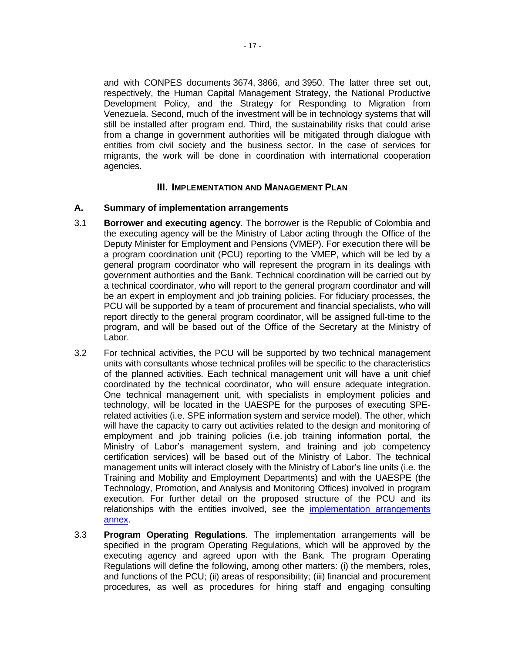and with CONPES documents 3674, 3866, and 3950. The latter three set out, respectively, the Human Capital Management Strategy, the National Productive Development Policy, and the Strategy for Responding to Migration from Venezuela. Second, much of the investment will be in technology systems that will still be installed after program end. Third, the sustainability risks that could arise from a change in government authorities will be mitigated through dialogue with entities from civil society and the business sector. In the case of services for migrants, the work will be done in coordination with international cooperation agencies.

### **III. IMPLEMENTATION AND MANAGEMENT PLAN**

#### **A. Summary of implementation arrangements**

- 3.1 **Borrower and executing agency**. The borrower is the Republic of Colombia and the executing agency will be the Ministry of Labor acting through the Office of the Deputy Minister for Employment and Pensions (VMEP). For execution there will be a program coordination unit (PCU) reporting to the VMEP, which will be led by a general program coordinator who will represent the program in its dealings with government authorities and the Bank. Technical coordination will be carried out by a technical coordinator, who will report to the general program coordinator and will be an expert in employment and job training policies. For fiduciary processes, the PCU will be supported by a team of procurement and financial specialists, who will report directly to the general program coordinator, will be assigned full-time to the program, and will be based out of the Office of the Secretary at the Ministry of Labor.
- 3.2 For technical activities, the PCU will be supported by two technical management units with consultants whose technical profiles will be specific to the characteristics of the planned activities. Each technical management unit will have a unit chief coordinated by the technical coordinator, who will ensure adequate integration. One technical management unit, with specialists in employment policies and technology, will be located in the UAESPE for the purposes of executing SPErelated activities (i.e. SPE information system and service model). The other, which will have the capacity to carry out activities related to the design and monitoring of employment and job training policies (i.e. job training information portal, the Ministry of Labor's management system, and training and job competency certification services) will be based out of the Ministry of Labor. The technical management units will interact closely with the Ministry of Labor's line units (i.e. the Training and Mobility and Employment Departments) and with the UAESPE (the Technology, Promotion, and Analysis and Monitoring Offices) involved in program execution. For further detail on the proposed structure of the PCU and its relationships with the entities involved, see the [implementation arrangements](http://idbdocs.iadb.org/wsdocs/getDocument.aspx?DOCNUM=EZSHARE-659572234-46)  [annex.](http://idbdocs.iadb.org/wsdocs/getDocument.aspx?DOCNUM=EZSHARE-659572234-46)
- 3.3 **Program Operating Regulations**. The implementation arrangements will be specified in the program Operating Regulations, which will be approved by the executing agency and agreed upon with the Bank. The program Operating Regulations will define the following, among other matters: (i) the members, roles, and functions of the PCU; (ii) areas of responsibility; (iii) financial and procurement procedures, as well as procedures for hiring staff and engaging consulting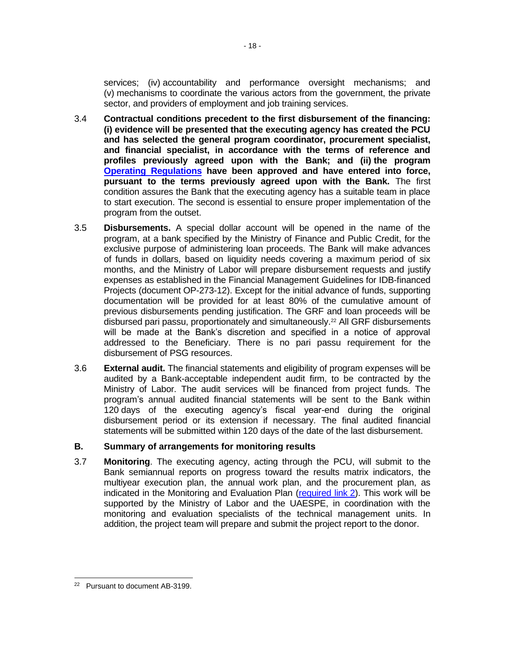services; (iv) accountability and performance oversight mechanisms; and (v) mechanisms to coordinate the various actors from the government, the private sector, and providers of employment and job training services.

- <span id="page-23-0"></span>3.4 **Contractual conditions precedent to the first disbursement of the financing: (i) evidence will be presented that the executing agency has created the PCU and has selected the general program coordinator, procurement specialist, and financial specialist, in accordance with the terms of reference and profiles previously agreed upon with the Bank; and (ii) the program [Operating Regulations](http://idbdocs.iadb.org/wsdocs/getDocument.aspx?DOCNUM=EZSHARE-659572234-54) have been approved and have entered into force, pursuant to the terms previously agreed upon with the Bank.** The first condition assures the Bank that the executing agency has a suitable team in place to start execution. The second is essential to ensure proper implementation of the program from the outset.
- <span id="page-23-1"></span>3.5 **Disbursements.** A special dollar account will be opened in the name of the program, at a bank specified by the Ministry of Finance and Public Credit, for the exclusive purpose of administering loan proceeds. The Bank will make advances of funds in dollars, based on liquidity needs covering a maximum period of six months, and the Ministry of Labor will prepare disbursement requests and justify expenses as established in the Financial Management Guidelines for IDB-financed Projects (document OP-273-12). Except for the initial advance of funds, supporting documentation will be provided for at least 80% of the cumulative amount of previous disbursements pending justification. The GRF and loan proceeds will be disbursed pari passu, proportionately and simultaneously. <sup>22</sup> All GRF disbursements will be made at the Bank's discretion and specified in a notice of approval addressed to the Beneficiary. There is no pari passu requirement for the disbursement of PSG resources.
- 3.6 **External audit.** The financial statements and eligibility of program expenses will be audited by a Bank-acceptable independent audit firm, to be contracted by the Ministry of Labor. The audit services will be financed from project funds. The program's annual audited financial statements will be sent to the Bank within 120 days of the executing agency's fiscal year-end during the original disbursement period or its extension if necessary. The final audited financial statements will be submitted within 120 days of the date of the last disbursement.

### **B. Summary of arrangements for monitoring results**

3.7 **Monitoring**. The executing agency, acting through the PCU, will submit to the Bank semiannual reports on progress toward the results matrix indicators, the multiyear execution plan, the annual work plan, and the procurement plan, as indicated in the Monitoring and Evaluation Plan [\(required link](http://idbdocs.iadb.org/wsdocs/getDocument.aspx?DOCNUM=EZSHARE-659572234-48) 2). This work will be supported by the Ministry of Labor and the UAESPE, in coordination with the monitoring and evaluation specialists of the technical management units. In addition, the project team will prepare and submit the project report to the donor.

<sup>22</sup> Pursuant to document AB-3199.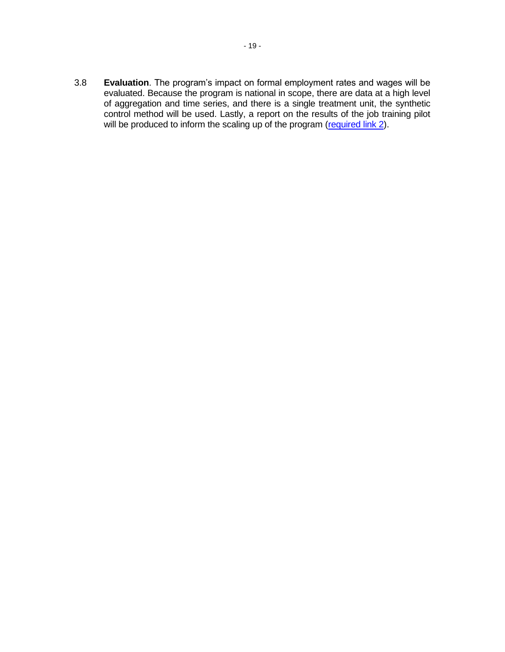3.8 **Evaluation**. The program's impact on formal employment rates and wages will be evaluated. Because the program is national in scope, there are data at a high level of aggregation and time series, and there is a single treatment unit, the synthetic control method will be used. Lastly, a report on the results of the job training pilot will be produced to inform the scaling up of the program [\(required link](http://idbdocs.iadb.org/wsdocs/getDocument.aspx?DOCNUM=EZSHARE-659572234-48) 2).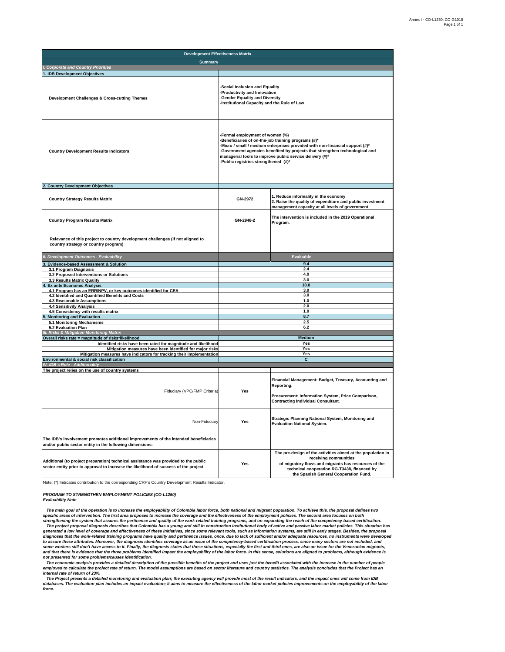| <b>Development Effectiveness Matrix</b>                                                                                                                                     |                                                                                                                                                                                                                                                                                                                                                            |                                                                                                                                                                                                                                      |  |  |  |  |  |  |  |
|-----------------------------------------------------------------------------------------------------------------------------------------------------------------------------|------------------------------------------------------------------------------------------------------------------------------------------------------------------------------------------------------------------------------------------------------------------------------------------------------------------------------------------------------------|--------------------------------------------------------------------------------------------------------------------------------------------------------------------------------------------------------------------------------------|--|--|--|--|--|--|--|
| <b>Summary</b>                                                                                                                                                              |                                                                                                                                                                                                                                                                                                                                                            |                                                                                                                                                                                                                                      |  |  |  |  |  |  |  |
| I. Corporate and Country Priorities                                                                                                                                         |                                                                                                                                                                                                                                                                                                                                                            |                                                                                                                                                                                                                                      |  |  |  |  |  |  |  |
| 1. IDB Development Objectives                                                                                                                                               |                                                                                                                                                                                                                                                                                                                                                            |                                                                                                                                                                                                                                      |  |  |  |  |  |  |  |
| Development Challenges & Cross-cutting Themes                                                                                                                               | Social Inclusion and Equality<br>-Productivity and Innovation<br><b>Gender Equality and Diversity</b><br>-Institutional Capacity and the Rule of Law                                                                                                                                                                                                       |                                                                                                                                                                                                                                      |  |  |  |  |  |  |  |
| <b>Country Development Results Indicators</b>                                                                                                                               | -Formal employment of women (%)<br>-Beneficiaries of on-the-job training programs (#)*<br>-Micro / small / medium enterprises provided with non-financial support (#)*<br>-Government agencies benefited by projects that strengthen technological and<br>managerial tools to improve public service delivery (#)*<br>-Public registries strengthened (#)* |                                                                                                                                                                                                                                      |  |  |  |  |  |  |  |
| 2. Country Development Objectives                                                                                                                                           |                                                                                                                                                                                                                                                                                                                                                            |                                                                                                                                                                                                                                      |  |  |  |  |  |  |  |
| <b>Country Strategy Results Matrix</b>                                                                                                                                      | GN-2972                                                                                                                                                                                                                                                                                                                                                    | 1. Reduce informality in the economy<br>2. Raise the quality of expenditure and public investment<br>management capacity at all levels of government                                                                                 |  |  |  |  |  |  |  |
| <b>Country Program Results Matrix</b>                                                                                                                                       | GN-2948-2                                                                                                                                                                                                                                                                                                                                                  | The intervention is included in the 2019 Operational<br>Program.                                                                                                                                                                     |  |  |  |  |  |  |  |
| Relevance of this project to country development challenges (If not aligned to<br>country strategy or country program)                                                      |                                                                                                                                                                                                                                                                                                                                                            |                                                                                                                                                                                                                                      |  |  |  |  |  |  |  |
| <b>Development Outcomes - Evaluability</b>                                                                                                                                  |                                                                                                                                                                                                                                                                                                                                                            | Evaluable                                                                                                                                                                                                                            |  |  |  |  |  |  |  |
| <b>Evidence-based Assessment &amp; Solution</b>                                                                                                                             |                                                                                                                                                                                                                                                                                                                                                            | 9.4                                                                                                                                                                                                                                  |  |  |  |  |  |  |  |
| 3.1 Program Diagnosis                                                                                                                                                       |                                                                                                                                                                                                                                                                                                                                                            | 2.4                                                                                                                                                                                                                                  |  |  |  |  |  |  |  |
| 3.2 Proposed Interventions or Solutions                                                                                                                                     | 4.0                                                                                                                                                                                                                                                                                                                                                        |                                                                                                                                                                                                                                      |  |  |  |  |  |  |  |
| 3.3 Results Matrix Quality                                                                                                                                                  |                                                                                                                                                                                                                                                                                                                                                            | 3.0                                                                                                                                                                                                                                  |  |  |  |  |  |  |  |
| <b>Ex ante Economic Analysis</b>                                                                                                                                            |                                                                                                                                                                                                                                                                                                                                                            | 10.0                                                                                                                                                                                                                                 |  |  |  |  |  |  |  |
| 4.1 Program has an ERR/NPV, or key outcomes identified for CEA                                                                                                              |                                                                                                                                                                                                                                                                                                                                                            | 3.0<br>3.0                                                                                                                                                                                                                           |  |  |  |  |  |  |  |
| 4.2 Identified and Quantified Benefits and Costs<br>4.3 Reasonable Assumptions                                                                                              |                                                                                                                                                                                                                                                                                                                                                            | 1.0                                                                                                                                                                                                                                  |  |  |  |  |  |  |  |
| 4.4 Sensitivity Analysis                                                                                                                                                    |                                                                                                                                                                                                                                                                                                                                                            | 2.0                                                                                                                                                                                                                                  |  |  |  |  |  |  |  |
| 4.5 Consistency with results matrix                                                                                                                                         |                                                                                                                                                                                                                                                                                                                                                            | 1.0                                                                                                                                                                                                                                  |  |  |  |  |  |  |  |
| <b>Monitoring and Evaluation</b>                                                                                                                                            |                                                                                                                                                                                                                                                                                                                                                            | 8.7                                                                                                                                                                                                                                  |  |  |  |  |  |  |  |
| 5.1 Monitoring Mechanisms                                                                                                                                                   | 2.5                                                                                                                                                                                                                                                                                                                                                        |                                                                                                                                                                                                                                      |  |  |  |  |  |  |  |
| 5.2 Evaluation Plan                                                                                                                                                         |                                                                                                                                                                                                                                                                                                                                                            | 6.2                                                                                                                                                                                                                                  |  |  |  |  |  |  |  |
| <b>Risks &amp; Mitigation Monitoring Matrix</b>                                                                                                                             |                                                                                                                                                                                                                                                                                                                                                            |                                                                                                                                                                                                                                      |  |  |  |  |  |  |  |
| Overall risks rate = magnitude of risks*likelihood<br>Identified risks have been rated for magnitude and likelihood                                                         |                                                                                                                                                                                                                                                                                                                                                            | Medium<br>Yes                                                                                                                                                                                                                        |  |  |  |  |  |  |  |
| Mitigation measures have been identified for major risks                                                                                                                    |                                                                                                                                                                                                                                                                                                                                                            | Yes                                                                                                                                                                                                                                  |  |  |  |  |  |  |  |
| Mitigation measures have indicators for tracking their implementation                                                                                                       |                                                                                                                                                                                                                                                                                                                                                            | Yes                                                                                                                                                                                                                                  |  |  |  |  |  |  |  |
| Environmental & social risk classification                                                                                                                                  |                                                                                                                                                                                                                                                                                                                                                            | C                                                                                                                                                                                                                                    |  |  |  |  |  |  |  |
| <b>IDB</b> 's Role - Additionality                                                                                                                                          |                                                                                                                                                                                                                                                                                                                                                            |                                                                                                                                                                                                                                      |  |  |  |  |  |  |  |
| The project relies on the use of country systems                                                                                                                            |                                                                                                                                                                                                                                                                                                                                                            | Financial Management: Budget, Treasury, Accounting and<br>Reporting.                                                                                                                                                                 |  |  |  |  |  |  |  |
| Fiduciary (VPC/FMP Criteria)                                                                                                                                                | Yes                                                                                                                                                                                                                                                                                                                                                        | Procurement: Information System, Price Comparison,<br><b>Contracting Individual Consultant.</b>                                                                                                                                      |  |  |  |  |  |  |  |
| Non-Fiduciary                                                                                                                                                               | Yes                                                                                                                                                                                                                                                                                                                                                        | Strategic Planning National System, Monitoring and<br><b>Evaluation National System.</b>                                                                                                                                             |  |  |  |  |  |  |  |
| The IDB's involvement promotes additional improvements of the intended beneficiaries<br>and/or public sector entity in the following dimensions:                            |                                                                                                                                                                                                                                                                                                                                                            |                                                                                                                                                                                                                                      |  |  |  |  |  |  |  |
| Additional (to project preparation) technical assistance was provided to the public<br>sector entity prior to approval to increase the likelihood of success of the project | Yes                                                                                                                                                                                                                                                                                                                                                        | The pre-design of the activities aimed at the population in<br>receiving communities<br>of migratory flows and migrants has resources of the<br>technical cooperation RG-T3438, financed by<br>the Spanish General Cooperation Fund. |  |  |  |  |  |  |  |

Note: (\*) Indicates contribution to the corresponding CRF's Country Development Results Indicator.

*PROGRAM TO STRENGTHEN EMPLOYMENT POLICIES (CO-L1250)* **Evaluability Note** 

The main goal of the operation is to increase the employability of Colombia labor force, both national and migrant population. To achieve this, the proposal defines two<br>specific areas of intervention. The first area propos strengthening the system that assures the pertinence and quality of the work-related training programs, and on expanding the reach of the competency-based certification.<br>The project proposal diagnosis describes that Colomb generated a low level of coverage and effectiveness of these initiatives, since some relevant tools, such as information systems, are still in early stages. Besides, the proposal<br>diagnoses that the work-related training pr

The economic analysis provides a detailed description of the possible benefits of the project and uses just the benefit associated with the increase in the number of people "The project rate of retoric. The model assumptio

*internal rate of return of 23%. The Project presents a detailed monitoring and evaluation plan; the executing agency will provide most of the result indicators, and the impact ones will come from IDB*  databases. The evaluation plan includes an impact evaluation; It aims to measure the effectiveness of the labor market policies improvements on the employability of the labor *force.*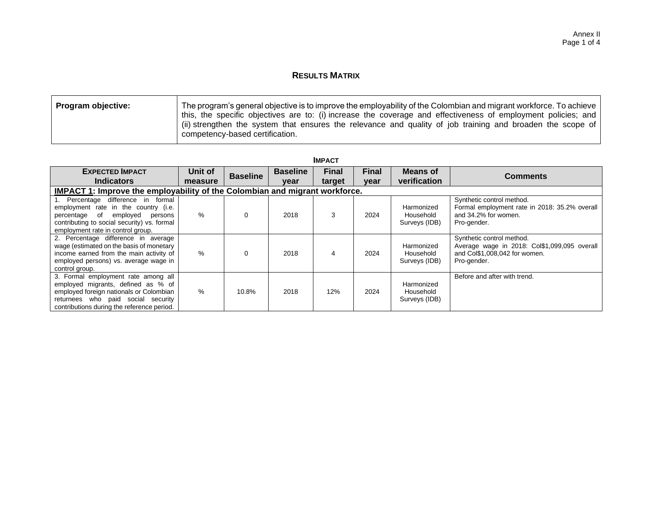## **RESULTS MATRIX**

| <b>Program objective:</b> | The program's general objective is to improve the employability of the Colombian and migrant workforce. To achieve |
|---------------------------|--------------------------------------------------------------------------------------------------------------------|
|                           | this, the specific objectives are to: (i) increase the coverage and effectiveness of employment policies; and      |
|                           | (ii) strengthen the system that ensures the relevance and quality of job training and broaden the scope of         |
|                           | competency-based certification.                                                                                    |

| <b>IMPACT</b>                                                                                                                                                                                            |                    |                 |                         |                        |                      |                                          |                                                                                                                           |  |  |  |  |  |
|----------------------------------------------------------------------------------------------------------------------------------------------------------------------------------------------------------|--------------------|-----------------|-------------------------|------------------------|----------------------|------------------------------------------|---------------------------------------------------------------------------------------------------------------------------|--|--|--|--|--|
| <b>EXPECTED IMPACT</b><br><b>Indicators</b>                                                                                                                                                              | Unit of<br>measure | <b>Baseline</b> | <b>Baseline</b><br>vear | <b>Final</b><br>target | <b>Final</b><br>year | Means of<br>verification                 | <b>Comments</b>                                                                                                           |  |  |  |  |  |
| <b>IMPACT 1:</b> Improve the employability of the Colombian and migrant workforce.                                                                                                                       |                    |                 |                         |                        |                      |                                          |                                                                                                                           |  |  |  |  |  |
| 1. Percentage difference in formal<br>employment rate in the country (i.e.<br>percentage of employed<br>persons<br>contributing to social security) vs. formal<br>employment rate in control group.      | $\%$               | 0               | 2018                    | 3                      | 2024                 | Harmonized<br>Household<br>Surveys (IDB) | Synthetic control method.<br>Formal employment rate in 2018: 35.2% overall<br>and 34.2% for women.<br>Pro-gender.         |  |  |  |  |  |
| 2. Percentage difference in average<br>wage (estimated on the basis of monetary<br>income earned from the main activity of<br>employed persons) vs. average wage in<br>control group.                    | $\%$               | 0               | 2018                    | 4                      | 2024                 | Harmonized<br>Household<br>Surveys (IDB) | Synthetic control method.<br>Average wage in 2018: Col\$1,099,095 overall<br>and Col\$1,008,042 for women.<br>Pro-gender. |  |  |  |  |  |
| 3. Formal employment rate among all<br>employed migrants, defined as % of<br>employed foreign nationals or Colombian<br>returnees who paid social security<br>contributions during the reference period. | $\%$               | 10.8%           | 2018                    | 12%                    | 2024                 | Harmonized<br>Household<br>Surveys (IDB) | Before and after with trend.                                                                                              |  |  |  |  |  |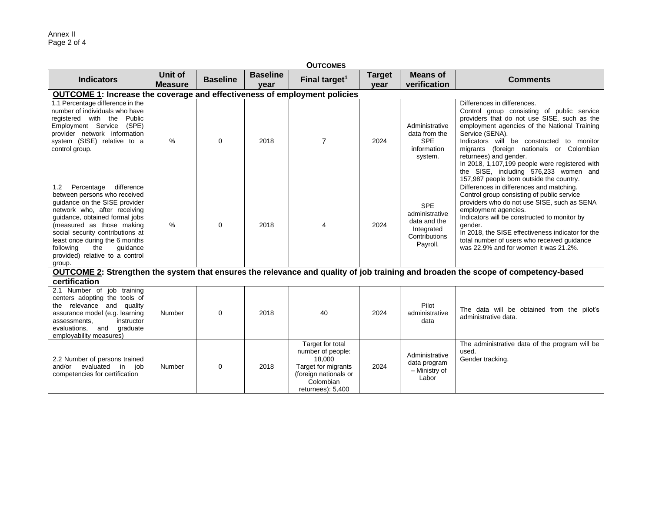| <b>OUTCOMES</b>                                                                                                                                                                                                                                                                                                                                 |                           |                 |                         |                                                                                                                                   |                       |                                                                                         |                                                                                                                                                                                                                                                                                                                                                                                                                                                       |  |  |  |  |
|-------------------------------------------------------------------------------------------------------------------------------------------------------------------------------------------------------------------------------------------------------------------------------------------------------------------------------------------------|---------------------------|-----------------|-------------------------|-----------------------------------------------------------------------------------------------------------------------------------|-----------------------|-----------------------------------------------------------------------------------------|-------------------------------------------------------------------------------------------------------------------------------------------------------------------------------------------------------------------------------------------------------------------------------------------------------------------------------------------------------------------------------------------------------------------------------------------------------|--|--|--|--|
| <b>Indicators</b>                                                                                                                                                                                                                                                                                                                               | Unit of<br><b>Measure</b> | <b>Baseline</b> | <b>Baseline</b><br>vear | Final target <sup>1</sup>                                                                                                         | <b>Target</b><br>year | <b>Means of</b><br>verification                                                         | <b>Comments</b>                                                                                                                                                                                                                                                                                                                                                                                                                                       |  |  |  |  |
| OUTCOME 1: Increase the coverage and effectiveness of employment policies                                                                                                                                                                                                                                                                       |                           |                 |                         |                                                                                                                                   |                       |                                                                                         |                                                                                                                                                                                                                                                                                                                                                                                                                                                       |  |  |  |  |
| 1.1 Percentage difference in the<br>number of individuals who have<br>registered with the<br>Public<br>Employment Service<br>(SPE)<br>provider network information<br>system (SISE) relative to a<br>control group.                                                                                                                             | %                         | $\Omega$        | 2018                    | $\overline{7}$                                                                                                                    | 2024                  | Administrative<br>data from the<br><b>SPE</b><br>information<br>system.                 | Differences in differences.<br>Control group consisting of public service<br>providers that do not use SISE, such as the<br>employment agencies of the National Training<br>Service (SENA).<br>Indicators will be constructed to monitor<br>migrants (foreign nationals or Colombian<br>returnees) and gender.<br>In 2018, 1,107,199 people were registered with<br>the SISE, including 576,233 women and<br>157,987 people born outside the country. |  |  |  |  |
| difference<br>1.2 Percentage<br>between persons who received<br>quidance on the SISE provider<br>network who, after receiving<br>guidance, obtained formal jobs<br>(measured as those making<br>social security contributions at<br>least once during the 6 months<br>following<br>guidance<br>the<br>provided) relative to a control<br>group. | %                         | $\Omega$        | 2018                    | 4                                                                                                                                 | 2024                  | <b>SPE</b><br>administrative<br>data and the<br>Integrated<br>Contributions<br>Payroll. | Differences in differences and matching.<br>Control group consisting of public service<br>providers who do not use SISE, such as SENA<br>employment agencies.<br>Indicators will be constructed to monitor by<br>gender.<br>In 2018, the SISE effectiveness indicator for the<br>total number of users who received guidance<br>was 22.9% and for women it was 21.2%.                                                                                 |  |  |  |  |
|                                                                                                                                                                                                                                                                                                                                                 |                           |                 |                         |                                                                                                                                   |                       |                                                                                         | OUTCOME 2: Strengthen the system that ensures the relevance and quality of job training and broaden the scope of competency-based                                                                                                                                                                                                                                                                                                                     |  |  |  |  |
| certification<br>2.1 Number of job training<br>centers adopting the tools of<br>the relevance and quality<br>assurance model (e.g. learning<br>instructor<br>assessments.<br>evaluations,<br>and<br>graduate<br>employability measures)                                                                                                         | Number                    | $\Omega$        | 2018                    | 40                                                                                                                                | 2024                  | Pilot<br>administrative<br>data                                                         | The data will be obtained from the pilot's<br>administrative data.                                                                                                                                                                                                                                                                                                                                                                                    |  |  |  |  |
| 2.2 Number of persons trained<br>evaluated in job<br>and/or<br>competencies for certification                                                                                                                                                                                                                                                   | Number                    | 0               | 2018                    | Target for total<br>number of people:<br>18,000<br>Target for migrants<br>(foreign nationals or<br>Colombian<br>returnees): 5,400 | 2024                  | Administrative<br>data program<br>- Ministry of<br>Labor                                | The administrative data of the program will be<br>used.<br>Gender tracking.                                                                                                                                                                                                                                                                                                                                                                           |  |  |  |  |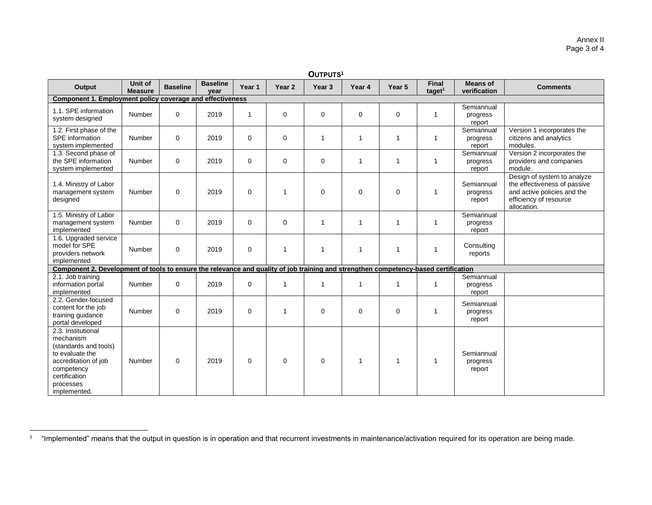| OUTPUTS <sup>1</sup>                                                                                                                                            |                                  |                 |                         |             |                   |              |              |              |                           |                                  |                                                                                                                                     |
|-----------------------------------------------------------------------------------------------------------------------------------------------------------------|----------------------------------|-----------------|-------------------------|-------------|-------------------|--------------|--------------|--------------|---------------------------|----------------------------------|-------------------------------------------------------------------------------------------------------------------------------------|
| Output                                                                                                                                                          | <b>Unit of</b><br><b>Measure</b> | <b>Baseline</b> | <b>Baseline</b><br>year | Year 1      | Year <sub>2</sub> | Year 3       | Year 4       | Year 5       | <b>Final</b><br>taget $1$ | <b>Means of</b><br>verification  | <b>Comments</b>                                                                                                                     |
| Component 1. Employment policy coverage and effectiveness                                                                                                       |                                  |                 |                         |             |                   |              |              |              |                           |                                  |                                                                                                                                     |
| 1.1. SPE information<br>system designed                                                                                                                         | Number                           | $\mathbf 0$     | 2019                    | -1          | $\mathbf 0$       | 0            | 0            | 0            | $\mathbf 1$               | Semiannual<br>progress<br>report |                                                                                                                                     |
| 1.2. First phase of the<br>SPE information<br>system implemented                                                                                                | Number                           | $\mathbf 0$     | 2019                    | $\mathbf 0$ | $\mathbf 0$       | 1            | $\mathbf{1}$ | $\mathbf{1}$ | $\mathbf{1}$              | Semiannual<br>progress<br>report | Version 1 incorporates the<br>citizens and analytics<br>modules.                                                                    |
| 1.3. Second phase of<br>the SPE information<br>system implemented                                                                                               | Number                           | $\mathbf 0$     | 2019                    | $\mathbf 0$ | $\mathbf 0$       | 0            | 1            | 1            | $\mathbf 1$               | Semiannual<br>progress<br>report | Version 2 incorporates the<br>providers and companies<br>module.                                                                    |
| 1.4. Ministry of Labor<br>management system<br>designed                                                                                                         | Number                           | $\mathbf 0$     | 2019                    | $\Omega$    | $\mathbf{1}$      | $\Omega$     | $\mathbf 0$  | $\mathbf 0$  | $\overline{1}$            | Semiannual<br>progress<br>report | Design of system to analyze<br>the effectiveness of passive<br>and active policies and the<br>efficiency of resource<br>allocation. |
| 1.5. Ministry of Labor<br>management system<br>implemented                                                                                                      | Number                           | $\mathbf 0$     | 2019                    | $\mathbf 0$ | $\mathbf 0$       | 1            | 1            | 1            | $\mathbf{1}$              | Semiannual<br>progress<br>report |                                                                                                                                     |
| 1.6. Upgraded service<br>model for SPE<br>providers network<br>implemented                                                                                      | Number                           | $\mathbf 0$     | 2019                    | $\mathbf 0$ | 1                 | $\mathbf{1}$ | 1            | $\mathbf{1}$ | 1                         | Consulting<br>reports            |                                                                                                                                     |
| Component 2. Development of tools to ensure the relevance and quality of job training and strengthen competency-based certification                             |                                  |                 |                         |             |                   |              |              |              |                           |                                  |                                                                                                                                     |
| 2.1. Job training<br>information portal<br>implemented                                                                                                          | Number                           | $\mathbf 0$     | 2019                    | $\mathbf 0$ |                   | $\mathbf{1}$ | $\mathbf{1}$ | $\mathbf{1}$ | $\mathbf{1}$              | Semiannual<br>progress<br>report |                                                                                                                                     |
| 2.2. Gender-focused<br>content for the job<br>training guidance<br>portal developed                                                                             | Number                           | $\mathbf 0$     | 2019                    | $\mathbf 0$ | 1                 | 0            | 0            | $\mathbf 0$  | $\mathbf{1}$              | Semiannual<br>progress<br>report |                                                                                                                                     |
| 2.3. Institutional<br>mechanism<br>(standards and tools)<br>to evaluate the<br>accreditation of job<br>competency<br>certification<br>processes<br>implemented. | Number                           | $\Omega$        | 2019                    | $\Omega$    | $\Omega$          | 0            | $\mathbf{1}$ | 1            | $\overline{1}$            | Semiannual<br>progress<br>report |                                                                                                                                     |

<sup>&</sup>lt;sup>1</sup> "Implemented" means that the output in question is in operation and that recurrent investments in maintenance/activation required for its operation are being made.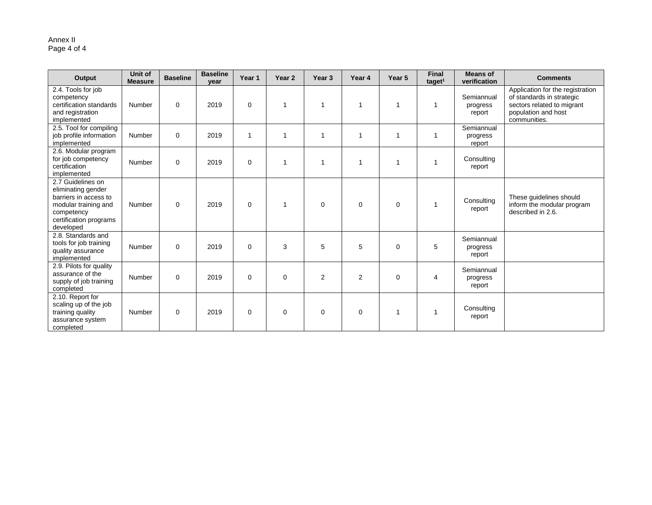#### Annex II Page 4 of 4

| Output                                                                                                                                        | Unit of<br><b>Measure</b> | <b>Baseline</b> | <b>Baseline</b><br>year | Year 1       | Year <sub>2</sub> | Year <sub>3</sub> | Year 4         | Year 5   | <b>Final</b><br>taget <sup>1</sup> | <b>Means of</b><br>verification  | <b>Comments</b>                                                                                                                    |
|-----------------------------------------------------------------------------------------------------------------------------------------------|---------------------------|-----------------|-------------------------|--------------|-------------------|-------------------|----------------|----------|------------------------------------|----------------------------------|------------------------------------------------------------------------------------------------------------------------------------|
| 2.4. Tools for job<br>competency<br>certification standards<br>and registration<br>implemented                                                | Number                    | $\Omega$        | 2019                    | $\Omega$     | $\overline{1}$    | -1                |                |          |                                    | Semiannual<br>progress<br>report | Application for the registration<br>of standards in strategic<br>sectors related to migrant<br>population and host<br>communities. |
| 2.5. Tool for compiling<br>job profile information<br>implemented                                                                             | Number                    | 0               | 2019                    | $\mathbf{1}$ | -1                | 1                 |                |          |                                    | Semiannual<br>progress<br>report |                                                                                                                                    |
| 2.6. Modular program<br>for job competency<br>certification<br>implemented                                                                    | Number                    | $\mathbf 0$     | 2019                    | $\Omega$     | -1                | -1                |                |          |                                    | Consulting<br>report             |                                                                                                                                    |
| 2.7 Guidelines on<br>eliminating gender<br>barriers in access to<br>modular training and<br>competency<br>certification programs<br>developed | Number                    | $\mathbf 0$     | 2019                    | $\Omega$     | $\mathbf{1}$      | $\Omega$          | 0              | $\Omega$ |                                    | Consulting<br>report             | These quidelines should<br>inform the modular program<br>described in 2.6.                                                         |
| 2.8. Standards and<br>tools for job training<br>quality assurance<br>implemented                                                              | Number                    | $\mathbf 0$     | 2019                    | $\Omega$     | 3                 | 5                 | 5              | $\Omega$ | 5                                  | Semiannual<br>progress<br>report |                                                                                                                                    |
| 2.9. Pilots for quality<br>assurance of the<br>supply of job training<br>completed                                                            | Number                    | $\mathbf 0$     | 2019                    | 0            | $\mathbf 0$       | $\overline{2}$    | $\overline{2}$ | 0        | 4                                  | Semiannual<br>progress<br>report |                                                                                                                                    |
| 2.10. Report for<br>scaling up of the job<br>training quality<br>assurance system<br>completed                                                | Number                    | $\mathbf 0$     | 2019                    | 0            | $\mathbf 0$       | 0                 | 0              |          |                                    | Consulting<br>report             |                                                                                                                                    |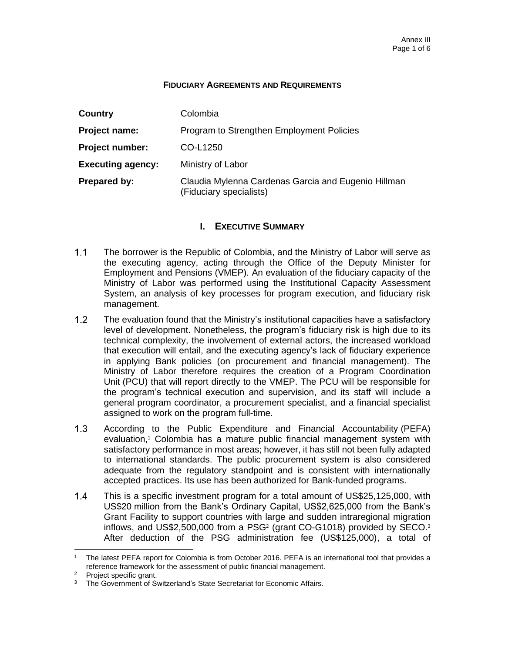#### **FIDUCIARY AGREEMENTS AND REQUIREMENTS**

| Country                  | Colombia                                                                       |
|--------------------------|--------------------------------------------------------------------------------|
| Project name:            | Program to Strengthen Employment Policies                                      |
| <b>Project number:</b>   | CO-L1250                                                                       |
| <b>Executing agency:</b> | Ministry of Labor                                                              |
| Prepared by:             | Claudia Mylenna Cardenas Garcia and Eugenio Hillman<br>(Fiduciary specialists) |

### **I. EXECUTIVE SUMMARY**

- $1.1$ The borrower is the Republic of Colombia, and the Ministry of Labor will serve as the executing agency, acting through the Office of the Deputy Minister for Employment and Pensions (VMEP). An evaluation of the fiduciary capacity of the Ministry of Labor was performed using the Institutional Capacity Assessment System, an analysis of key processes for program execution, and fiduciary risk management.
- $1.2<sub>2</sub>$ The evaluation found that the Ministry's institutional capacities have a satisfactory level of development. Nonetheless, the program's fiduciary risk is high due to its technical complexity, the involvement of external actors, the increased workload that execution will entail, and the executing agency's lack of fiduciary experience in applying Bank policies (on procurement and financial management). The Ministry of Labor therefore requires the creation of a Program Coordination Unit (PCU) that will report directly to the VMEP. The PCU will be responsible for the program's technical execution and supervision, and its staff will include a general program coordinator, a procurement specialist, and a financial specialist assigned to work on the program full-time.
- $1.3<sub>1</sub>$ According to the Public Expenditure and Financial Accountability (PEFA) evaluation,<sup>1</sup> Colombia has a mature public financial management system with satisfactory performance in most areas; however, it has still not been fully adapted to international standards. The public procurement system is also considered adequate from the regulatory standpoint and is consistent with internationally accepted practices. Its use has been authorized for Bank-funded programs.
- This is a specific investment program for a total amount of US\$25,125,000, with  $1.4$ US\$20 million from the Bank's Ordinary Capital, US\$2,625,000 from the Bank's Grant Facility to support countries with large and sudden intraregional migration inflows, and US\$2,500,000 from a PSG<sup>2</sup> (grant CO-G1018) provided by SECO.<sup>3</sup> After deduction of the PSG administration fee (US\$125,000), a total of

The latest PEFA report for Colombia is from October 2016. PEFA is an international tool that provides a reference framework for the assessment of public financial management.

<sup>&</sup>lt;sup>2</sup> Project specific grant.<br><sup>3</sup> The Government of Sv.

The Government of Switzerland's State Secretariat for Economic Affairs.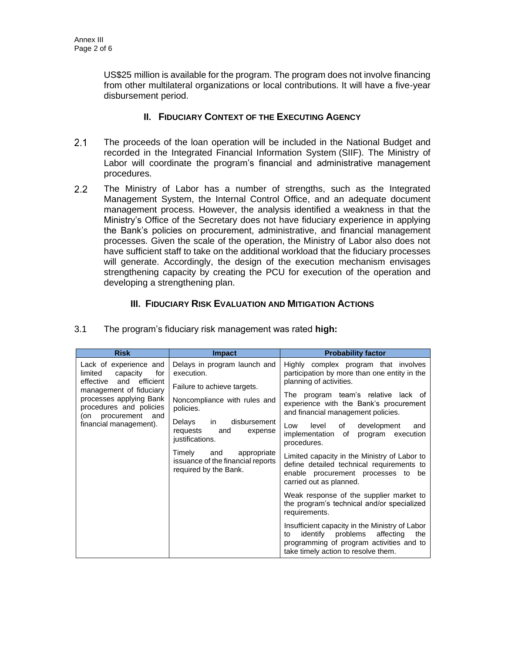US\$25 million is available for the program. The program does not involve financing from other multilateral organizations or local contributions. It will have a five-year disbursement period.

### **II. FIDUCIARY CONTEXT OF THE EXECUTING AGENCY**

- $2.1$ The proceeds of the loan operation will be included in the National Budget and recorded in the Integrated Financial Information System (SIIF). The Ministry of Labor will coordinate the program's financial and administrative management procedures.
- $2.2<sub>2</sub>$ The Ministry of Labor has a number of strengths, such as the Integrated Management System, the Internal Control Office, and an adequate document management process. However, the analysis identified a weakness in that the Ministry's Office of the Secretary does not have fiduciary experience in applying the Bank's policies on procurement, administrative, and financial management processes. Given the scale of the operation, the Ministry of Labor also does not have sufficient staff to take on the additional workload that the fiduciary processes will generate. Accordingly, the design of the execution mechanism envisages strengthening capacity by creating the PCU for execution of the operation and developing a strengthening plan.

## **III. FIDUCIARY RISK EVALUATION AND MITIGATION ACTIONS**

| <b>Risk</b>                                                                                          | <b>Impact</b>                                                                              | <b>Probability factor</b>                                                                                                                                                           |
|------------------------------------------------------------------------------------------------------|--------------------------------------------------------------------------------------------|-------------------------------------------------------------------------------------------------------------------------------------------------------------------------------------|
| Lack of experience and<br>limited<br>capacity<br>for<br>efficient<br>effective and                   | Delays in program launch and<br>execution.<br>Failure to achieve targets.                  | Highly complex program that involves<br>participation by more than one entity in the<br>planning of activities.                                                                     |
| management of fiduciary<br>processes applying Bank<br>procedures and policies<br>(on procurement and | Noncompliance with rules and<br>policies.                                                  | The program team's relative lack of<br>experience with the Bank's procurement<br>and financial management policies.                                                                 |
| financial management).                                                                               | disbursement<br>Delays in<br>requests<br>and<br>expense<br>justifications.                 | level<br>Low<br>of<br>development<br>and<br>implementation of<br>program execution<br>procedures.                                                                                   |
|                                                                                                      | Timely<br>and<br>appropriate<br>issuance of the financial reports<br>required by the Bank. | Limited capacity in the Ministry of Labor to<br>define detailed technical requirements to<br>enable procurement processes to be<br>carried out as planned.                          |
|                                                                                                      |                                                                                            | Weak response of the supplier market to<br>the program's technical and/or specialized<br>requirements.                                                                              |
|                                                                                                      |                                                                                            | Insufficient capacity in the Ministry of Labor<br>identify<br>problems<br>affecting<br>the<br>to<br>programming of program activities and to<br>take timely action to resolve them. |

3.1 The program's fiduciary risk management was rated **high:**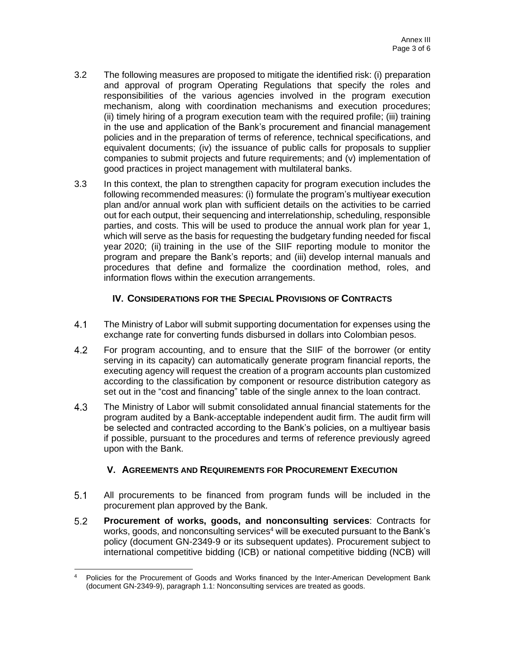- 3.2 The following measures are proposed to mitigate the identified risk: (i) preparation and approval of program Operating Regulations that specify the roles and responsibilities of the various agencies involved in the program execution mechanism, along with coordination mechanisms and execution procedures; (ii) timely hiring of a program execution team with the required profile; (iii) training in the use and application of the Bank's procurement and financial management policies and in the preparation of terms of reference, technical specifications, and equivalent documents; (iv) the issuance of public calls for proposals to supplier companies to submit projects and future requirements; and (v) implementation of good practices in project management with multilateral banks.
- 3.3 In this context, the plan to strengthen capacity for program execution includes the following recommended measures: (i) formulate the program's multiyear execution plan and/or annual work plan with sufficient details on the activities to be carried out for each output, their sequencing and interrelationship, scheduling, responsible parties, and costs. This will be used to produce the annual work plan for year 1, which will serve as the basis for requesting the budgetary funding needed for fiscal year 2020; (ii) training in the use of the SIIF reporting module to monitor the program and prepare the Bank's reports; and (iii) develop internal manuals and procedures that define and formalize the coordination method, roles, and information flows within the execution arrangements.

### **IV. CONSIDERATIONS FOR THE SPECIAL PROVISIONS OF CONTRACTS**

- $4.1$ The Ministry of Labor will submit supporting documentation for expenses using the exchange rate for converting funds disbursed in dollars into Colombian pesos.
- $4.2$ For program accounting, and to ensure that the SIIF of the borrower (or entity serving in its capacity) can automatically generate program financial reports, the executing agency will request the creation of a program accounts plan customized according to the classification by component or resource distribution category as set out in the "cost and financing" table of the single annex to the loan contract.
- $4.3$ The Ministry of Labor will submit consolidated annual financial statements for the program audited by a Bank-acceptable independent audit firm. The audit firm will be selected and contracted according to the Bank's policies, on a multiyear basis if possible, pursuant to the procedures and terms of reference previously agreed upon with the Bank.

### **V. AGREEMENTS AND REQUIREMENTS FOR PROCUREMENT EXECUTION**

- $5.1$ All procurements to be financed from program funds will be included in the procurement plan approved by the Bank.
- $5.2$ **Procurement of works, goods, and nonconsulting services**: Contracts for works, goods, and nonconsulting services<sup>4</sup> will be executed pursuant to the Bank's policy (document GN-2349-9 or its subsequent updates). Procurement subject to international competitive bidding (ICB) or national competitive bidding (NCB) will

<sup>4</sup> Policies for the Procurement of Goods and Works financed by the Inter-American Development Bank (document GN-2349-9), paragraph 1.1: Nonconsulting services are treated as goods.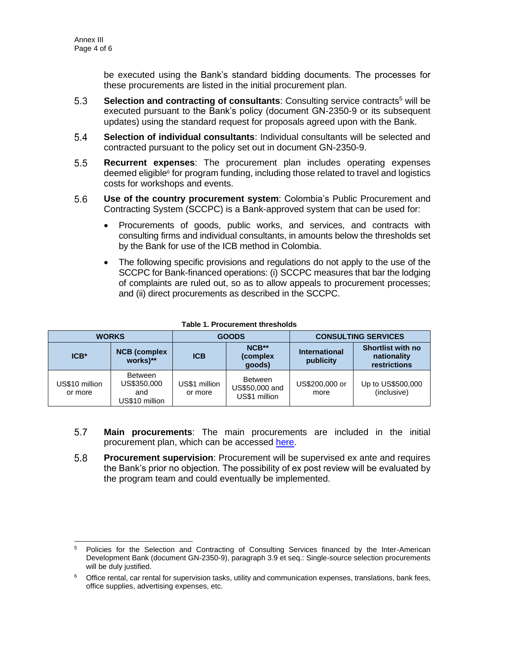be executed using the Bank's standard bidding documents. The processes for these procurements are listed in the initial procurement plan.

- $5.3$ **Selection and contracting of consultants: Consulting service contracts<sup>5</sup> will be** executed pursuant to the Bank's policy (document GN-2350-9 or its subsequent updates) using the standard request for proposals agreed upon with the Bank.
- $5.4$ **Selection of individual consultants**: Individual consultants will be selected and contracted pursuant to the policy set out in document GN-2350-9.
- $5.5$ **Recurrent expenses**: The procurement plan includes operating expenses deemed eligible<sup>6</sup> for program funding, including those related to travel and logistics costs for workshops and events.
- $5.6$ **Use of the country procurement system**: Colombia's Public Procurement and Contracting System (SCCPC) is a Bank-approved system that can be used for:
	- Procurements of goods, public works, and services, and contracts with consulting firms and individual consultants, in amounts below the thresholds set by the Bank for use of the ICB method in Colombia.
	- The following specific provisions and regulations do not apply to the use of the SCCPC for Bank-financed operations: (i) SCCPC measures that bar the lodging of complaints are ruled out, so as to allow appeals to procurement processes; and (ii) direct procurements as described in the SCCPC.

| <b>WORKS</b>              |                                                 | <b>GOODS</b>             |                                                   | <b>CONSULTING SERVICES</b>        |                                                                |
|---------------------------|-------------------------------------------------|--------------------------|---------------------------------------------------|-----------------------------------|----------------------------------------------------------------|
| $ICB*$                    | <b>NCB</b> (complex<br>works)**                 | <b>ICB</b>               | NCB**<br>(complex)<br>qoods)                      | <b>International</b><br>publicity | <b>Shortlist with no</b><br>nationality<br><b>restrictions</b> |
| US\$10 million<br>or more | Between<br>US\$350,000<br>and<br>US\$10 million | US\$1 million<br>or more | <b>Between</b><br>US\$50,000 and<br>US\$1 million | US\$200,000 or<br>more            | Up to US\$500,000<br>(inclusive)                               |

#### **Table 1. Procurement thresholds**

- 5.7 **Main procurements**: The main procurements are included in the initial procurement plan, which can be accessed [here.](http://idbdocs.iadb.org/wsdocs/getDocument.aspx?DOCNUM=EZSHARE-659572234-23)
- 5.8 **Procurement supervision**: Procurement will be supervised ex ante and requires the Bank's prior no objection. The possibility of ex post review will be evaluated by the program team and could eventually be implemented.

<sup>&</sup>lt;sup>5</sup> Policies for the Selection and Contracting of Consulting Services financed by the Inter-American Development Bank (document GN-2350-9), paragraph 3.9 et seq.: Single-source selection procurements will be duly justified.

<sup>&</sup>lt;sup>6</sup> Office rental, car rental for supervision tasks, utility and communication expenses, translations, bank fees, office supplies, advertising expenses, etc.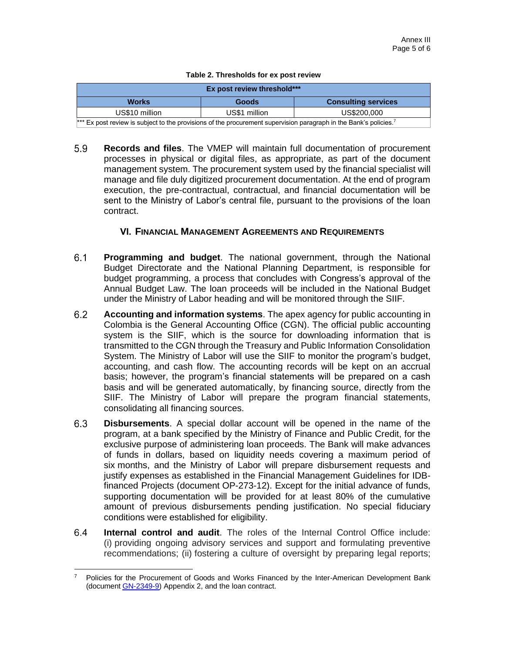#### **Table 2. Thresholds for ex post review**

| Ex post review threshold***                                                                                                   |               |                            |  |  |  |  |
|-------------------------------------------------------------------------------------------------------------------------------|---------------|----------------------------|--|--|--|--|
| <b>Works</b>                                                                                                                  | Goods         | <b>Consulting services</b> |  |  |  |  |
| US\$10 million                                                                                                                | US\$1 million | US\$200,000                |  |  |  |  |
| *** Ex post review is subject to the provisions of the procurement supervision paragraph in the Bank's policies. <sup>7</sup> |               |                            |  |  |  |  |

5.9 **Records and files**. The VMEP will maintain full documentation of procurement processes in physical or digital files, as appropriate, as part of the document management system. The procurement system used by the financial specialist will manage and file duly digitized procurement documentation. At the end of program execution, the pre-contractual, contractual, and financial documentation will be sent to the Ministry of Labor's central file, pursuant to the provisions of the loan contract.

#### **VI. FINANCIAL MANAGEMENT AGREEMENTS AND REQUIREMENTS**

- $6.1$ **Programming and budget**. The national government, through the National Budget Directorate and the National Planning Department, is responsible for budget programming, a process that concludes with Congress's approval of the Annual Budget Law. The loan proceeds will be included in the National Budget under the Ministry of Labor heading and will be monitored through the SIIF.
- $6.2$ **Accounting and information systems**. The apex agency for public accounting in Colombia is the General Accounting Office (CGN). The official public accounting system is the SIIF, which is the source for downloading information that is transmitted to the CGN through the Treasury and Public Information Consolidation System. The Ministry of Labor will use the SIIF to monitor the program's budget, accounting, and cash flow. The accounting records will be kept on an accrual basis; however, the program's financial statements will be prepared on a cash basis and will be generated automatically, by financing source, directly from the SIIF. The Ministry of Labor will prepare the program financial statements, consolidating all financing sources.
- $6.3$ **Disbursements**. A special dollar account will be opened in the name of the program, at a bank specified by the Ministry of Finance and Public Credit, for the exclusive purpose of administering loan proceeds. The Bank will make advances of funds in dollars, based on liquidity needs covering a maximum period of six months, and the Ministry of Labor will prepare disbursement requests and justify expenses as established in the Financial Management Guidelines for IDBfinanced Projects (document OP-273-12). Except for the initial advance of funds, supporting documentation will be provided for at least 80% of the cumulative amount of previous disbursements pending justification. No special fiduciary conditions were established for eligibility.
- **Internal control and audit**. The roles of the Internal Control Office include:  $6.4$ (i) providing ongoing advisory services and support and formulating preventive recommendations; (ii) fostering a culture of oversight by preparing legal reports;

<sup>7</sup> Policies for the Procurement of Goods and Works Financed by the Inter-American Development Bank [\(document GN-2349-9\)](http://idbdocs.iadb.org/wsdocs/getDocument.aspx?DOCNUM=774396) Appendix 2, and the loan contract.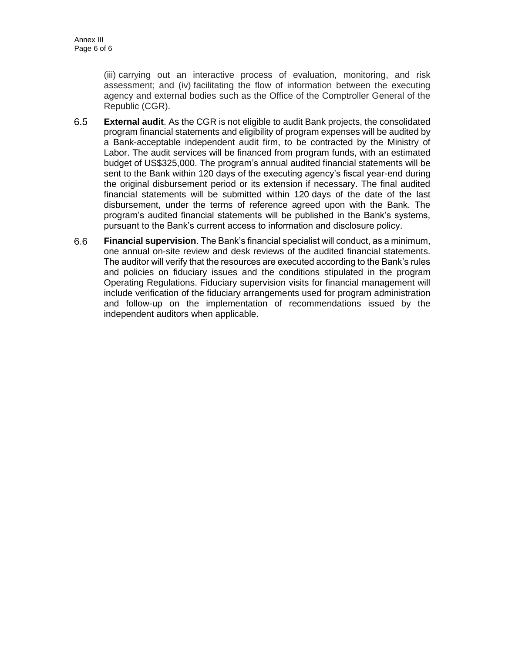(iii) carrying out an interactive process of evaluation, monitoring, and risk assessment; and (iv) facilitating the flow of information between the executing agency and external bodies such as the Office of the Comptroller General of the Republic (CGR).

- $6.5$ **External audit**. As the CGR is not eligible to audit Bank projects, the consolidated program financial statements and eligibility of program expenses will be audited by a Bank-acceptable independent audit firm, to be contracted by the Ministry of Labor. The audit services will be financed from program funds, with an estimated budget of US\$325,000. The program's annual audited financial statements will be sent to the Bank within 120 days of the executing agency's fiscal year-end during the original disbursement period or its extension if necessary. The final audited financial statements will be submitted within 120 days of the date of the last disbursement, under the terms of reference agreed upon with the Bank. The program's audited financial statements will be published in the Bank's systems, pursuant to the Bank's current access to information and disclosure policy.
- $6.6$ **Financial supervision**. The Bank's financial specialist will conduct, as a minimum, one annual on-site review and desk reviews of the audited financial statements. The auditor will verify that the resources are executed according to the Bank's rules and policies on fiduciary issues and the conditions stipulated in the program Operating Regulations. Fiduciary supervision visits for financial management will include verification of the fiduciary arrangements used for program administration and follow-up on the implementation of recommendations issued by the independent auditors when applicable.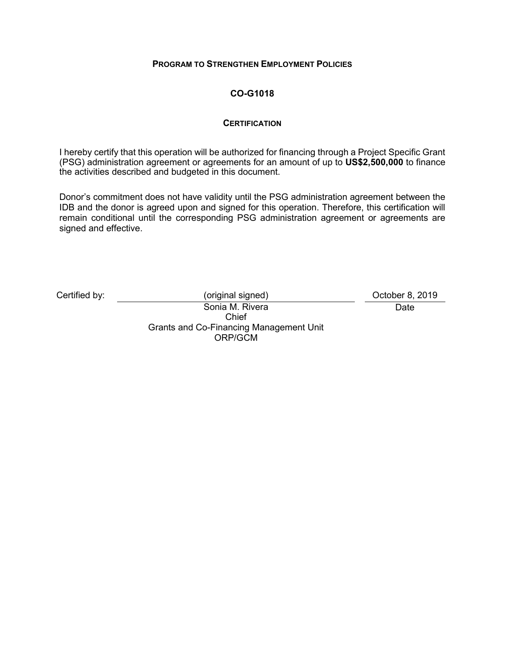### **PROGRAM TO STRENGTHEN EMPLOYMENT POLICIES**

## **CO-G1018**

### **CERTIFICATION**

I hereby certify that this operation will be authorized for financing through a Project Specific Grant (PSG) administration agreement or agreements for an amount of up to **US\$2,500,000** to finance the activities described and budgeted in this document.

Donor's commitment does not have validity until the PSG administration agreement between the IDB and the donor is agreed upon and signed for this operation. Therefore, this certification will remain conditional until the corresponding PSG administration agreement or agreements are signed and effective.

Certified by:  $(original signed)$  (Original signed) Certified by: 0 October 8, 2019

Date

Sonia M. Rivera Chief Grants and Co-Financing Management Unit ORP/GCM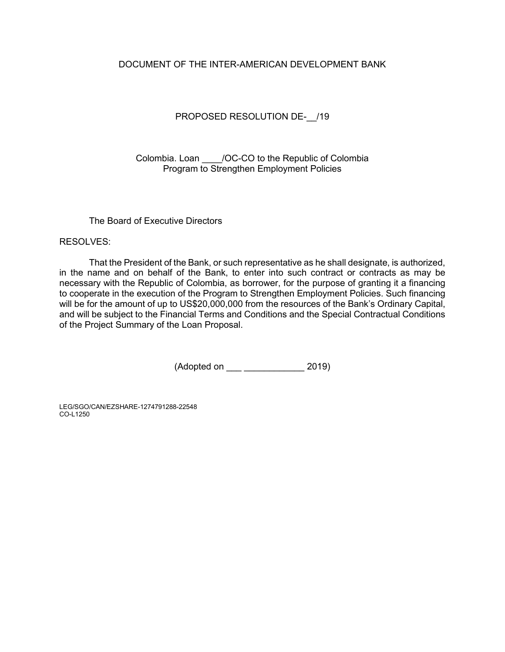### DOCUMENT OF THE INTER-AMERICAN DEVELOPMENT BANK

### PROPOSED RESOLUTION DE- /19

Colombia. Loan \_\_\_\_/OC-CO to the Republic of Colombia Program to Strengthen Employment Policies

### The Board of Executive Directors

RESOLVES:

That the President of the Bank, or such representative as he shall designate, is authorized, in the name and on behalf of the Bank, to enter into such contract or contracts as may be necessary with the Republic of Colombia, as borrower, for the purpose of granting it a financing to cooperate in the execution of the Program to Strengthen Employment Policies. Such financing will be for the amount of up to US\$20,000,000 from the resources of the Bank's Ordinary Capital, and will be subject to the Financial Terms and Conditions and the Special Contractual Conditions of the Project Summary of the Loan Proposal.

(Adopted on \_\_\_ \_\_\_\_\_\_\_\_\_\_\_\_ 2019)

LEG/SGO/CAN/EZSHARE-1274791288-22548 CO-L1250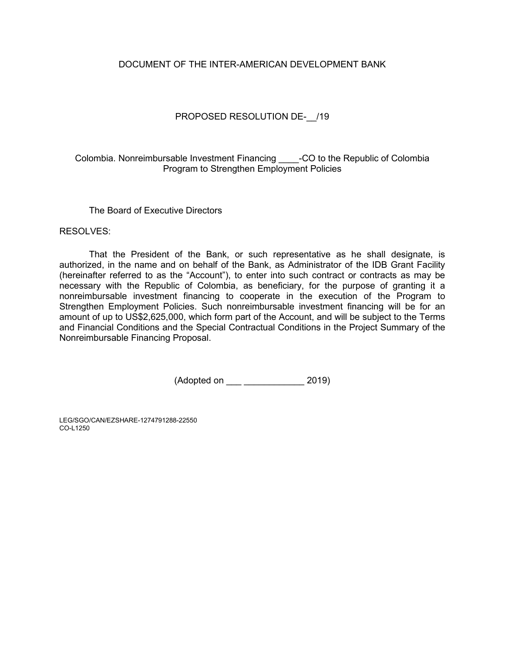### DOCUMENT OF THE INTER-AMERICAN DEVELOPMENT BANK

### PROPOSED RESOLUTION DE- /19

Colombia. Nonreimbursable Investment Financing \_\_\_\_-CO to the Republic of Colombia Program to Strengthen Employment Policies

The Board of Executive Directors

RESOLVES:

That the President of the Bank, or such representative as he shall designate, is authorized, in the name and on behalf of the Bank, as Administrator of the IDB Grant Facility (hereinafter referred to as the "Account"), to enter into such contract or contracts as may be necessary with the Republic of Colombia, as beneficiary, for the purpose of granting it a nonreimbursable investment financing to cooperate in the execution of the Program to Strengthen Employment Policies. Such nonreimbursable investment financing will be for an amount of up to US\$2,625,000, which form part of the Account, and will be subject to the Terms and Financial Conditions and the Special Contractual Conditions in the Project Summary of the Nonreimbursable Financing Proposal.

(Adopted on \_\_\_ \_\_\_\_\_\_\_\_\_\_\_\_ 2019)

LEG/SGO/CAN/EZSHARE-1274791288-22550 CO-L1250